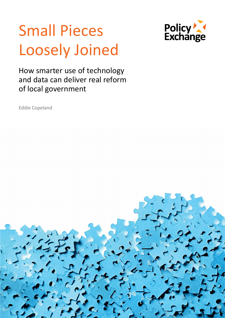# Small Pieces Loosely Joined



How smarter use of technology and data can deliver real reform of local government

Eddie Copeland

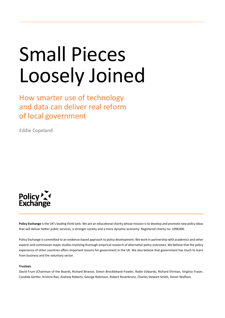# Small Pieces Loosely Joined

How smarter use of technology and data can deliver real reform of local government

Eddie Copeland



**Policy Exchange** is the UK's leading think tank. We are an educational charity whose mission is to develop and promote new policy ideas that will deliver better public services, a stronger society and a more dynamic economy. Registered charity no: 1096300.

Policy Exchange is committed to an evidence-based approach to policy development. We work in partnership with academics and other experts and commission major studies involving thorough empirical research of alternative policy outcomes. We believe that the policy experience of other countries offers important lessons for government in the UK. We also believe that government has much to learn from business and the voluntary sector.

#### **Trustees**

David Frum (Chairman of the Board), Richard Briance, Simon Brocklebank-Fowler, Robin Edwards, Richard Ehrman, Virginia Fraser, Candida Gertler, Krishna Rao, Andrew Roberts, George Robinson, Robert Rosenkranz, Charles Stewart-Smith, Simon Wolfson.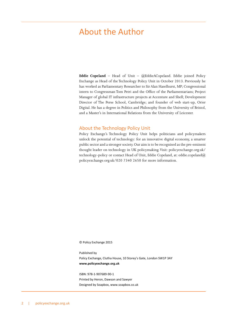### <span id="page-2-0"></span>About the Author

**Eddie Copeland** – Head of Unit – @EddieACopeland. Eddie joined Policy Exchange as Head of the Technology Policy Unit in October 2013. Previously he has worked as Parliamentary Researcher to Sir Alan Haselhurst, MP; Congressional intern to Congressman Tom Petri and the Office of the Parliamentarians; Project Manager of global IT infrastructure projects at Accenture and Shell; Development Director of The Perse School, Cambridge; and founder of web start-up, Orier Digital. He has a degree in Politics and Philosophy from the University of Bristol, and a Master's in International Relations from the University of Leicester.

#### About the Technology Policy Unit

Policy Exchange's Technology Policy Unit helps politicians and policymakers unlock the potential of technology: for an innovative digital economy, a smarter public sector and a stronger society. Our aim is to be recognised as the pre-eminent thought leader on technology in UK policymaking. Visit: [policyexchange.org.uk/](policyexchange.org.uk/technology) [technology](policyexchange.org.uk/technology)-policy or contact Head of Unit, Eddie Copeland, at: [eddie.copeland@](mailto:eddie.copeland@policyexchange.org.uk) [policyexchange.org.uk/](mailto:eddie.copeland@policyexchange.org.uk)020 7340 2650 for more information.

© Policy Exchange 2015

Published by Policy Exchange, Clutha House, 10 Storey's Gate, London SW1P 3AY **[www.policyexchange.org.uk](http://www.policyexchange.org.uk)**

ISBN: 978-1-907689-90-1 Printed by Heron, Dawson and Sawyer Designed by Soapbox, [www.soapbox.co.uk](http://www.soapbox.co.uk)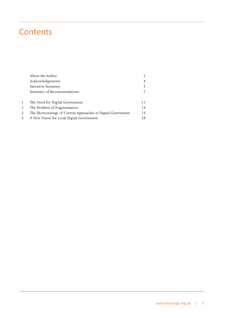## **Contents**

|   | About the Author                                             | $\mathfrak{D}$ |
|---|--------------------------------------------------------------|----------------|
|   | Acknowledgements                                             | $\overline{4}$ |
|   | <b>Executive Summary</b>                                     | 5              |
|   | Summary of Recommendations                                   | 7              |
|   |                                                              |                |
| 1 | The Need for Digital Government                              | 11             |
| 2 | The Problem of Fragmentation                                 | 14             |
| 3 | The Shortcomings of Current Approaches to Digital Government | 23             |
| 4 | A New Vision for Local Digital Government                    | 28             |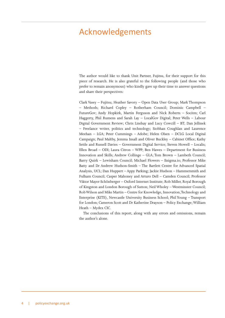### <span id="page-4-0"></span>Acknowledgements

The author would like to thank Unit Partner, Fujitsu, for their support for this piece of research. He is also grateful to the following people (and those who prefer to remain anonymous) who kindly gave up their time to answer questions and share their perspectives:

Clark Vasey – Fujitsu; Heather Savory – Open Data User Group; Mark Thompson – Methods; Richard Copley – Rotherham Council; Dominic Campbell – FutureGov; Andy Hopkirk, Martin Ferguson and Nick Roberts – Socitm; Carl Haggerty, Phil Rumens and Sarah Lay – LocalGov Digital; Peter Wells – Labour Digital Government Review; Chris Lindsay and Lucy Cowcill – BT; Dan Jellinek – Freelance writer, politics and technology; Siobhan Coughlan and Laurence Meehan – LGA; Peter Cummings – Adobe; Helen Olsen – DCLG Local Digital Campaign; Paul Maltby, Jemma Insall and Oliver Buckley – Cabinet Office; Kathy Settle and Russell Davies – Government Digital Service; Steven Howell – Localis; Ellen Broad – ODI; Laura Citron – WPP; Ben Hawes – Department for Business Innovation and Skills; Andrew Collinge – GLA; Tom Brown – Lambeth Council; Barry Quirk – Lewisham Council; Michael Flowers – [Enigma.io;](Enigma.io) Professor Mike Batty and Dr Andrew Hudson-Smith – The Bartlett Centre for Advanced Spatial Analysis, UCL; Dan Huppert – Appy Parking; Jackie Hudson – Hammersmith and Fulham Council; Casper Mahoney and Arturo Dell – Camden Council; Professor Viktor Mayer-Schönberger – Oxford Internet Institute; Rob Miller, [Royal Borough](https://www.linkedin.com/vsearch/p?company=Royal+Borough+of+Kingston+%26+London+Borough+of+Sutton&trk=prof-exp-company-name) [of Kingston and London Borough of Sutton;](https://www.linkedin.com/vsearch/p?company=Royal+Borough+of+Kingston+%26+London+Borough+of+Sutton&trk=prof-exp-company-name) Neil Wholey – Westminster Council; Rob Wilson and Mike Martin – Centre for Knowledge, Innovation, Technology and Enterprise (KITE), Newcastle University Business School; Phil Young – Transport for London; Cameron Scott and Dr Katherine Drayson – Policy Exchange; William Heath – Mydex CIC.

The conclusions of this report, along with any errors and omissions, remain the author's alone.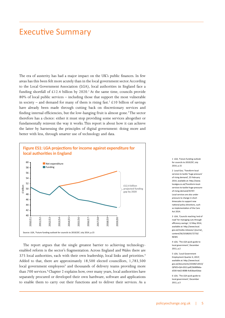### <span id="page-5-0"></span>Executive Summary

The era of austerity has had a major impact on the UK's public finances. In few areas has this been felt more acutely than in the local government sector. According to the Local Government Association (LGA), local authorities in England face a funding shortfall of £12.4 billion by 2020.<sup>1</sup> At the same time, councils provide 80% of local public services – including those that support the most vulnerable in society – and demand for many of them is rising fast.<sup>2</sup> £10 billion of savings have already been made through cutting back on discretionary services and finding internal efficiencies, but the low-hanging fruit is almost gone.<sup>3</sup> The sector therefore has a choice: either it must stop providing some services altogether or fundamentally reinvent the way it works. This report is about how it can achieve the latter by harnessing the principles of digital government: doing more and better with less, through smarter use of technology and data.



The report argues that the single greatest barrier to achieving technologyenabled reform is the sector's fragmentation. Across England and Wales there are 375 local authorities, each with their own leadership, local links and priorities.<sup>4</sup> Added to that, there are approximately 18,500 elected councillors, 1,783,500 local government employees<sup>5</sup> and thousands of delivery teams providing more than 700 services.<sup>6</sup> Chapter 2 explains how, over many years, local authorities have separately procured or developed their own hardware, software and applications to enable them to carry out their functions and to deliver their services. As a

1 LGA, 'Future funding outlook for councils to 2019/20', July 2014, p.15

2 Local Gov, 'Transform local services to tackle 'huge pressure' of rising demand', 25 February 2014, available at: [http://www.](http://www.localgov.co.uk/Transform-local-services-to-tackle-huge-pressure-of-rising-demand/35707) [localgov.co.uk/Transform-local](http://www.localgov.co.uk/Transform-local-services-to-tackle-huge-pressure-of-rising-demand/35707)[services-to-tackle-huge-pressure](http://www.localgov.co.uk/Transform-local-services-to-tackle-huge-pressure-of-rising-demand/35707)[of-rising-demand/35707.](http://www.localgov.co.uk/Transform-local-services-to-tackle-huge-pressure-of-rising-demand/35707) Local services are also under pressure to change in short timescales to support new national policy directions, such as implementation of the Care Act 2014.

3 LGA, 'Councils reaching 'end of road' for managing cuts through efficiency savings', 12 May 2014, available at: [http://www.local.](http://www.local.gov.uk/media-releases/-/journal_content/56/10180/6172733/NEWS) [gov.uk/media-releases/-/journal\\_](http://www.local.gov.uk/media-releases/-/journal_content/56/10180/6172733/NEWS) [content/56/10180/6172733/](http://www.local.gov.uk/media-releases/-/journal_content/56/10180/6172733/NEWS) **[NEWS](http://www.local.gov.uk/media-releases/-/journal_content/56/10180/6172733/NEWS)** 

4 LGA, 'The LGA quick guide to local government', December 2011, p.2

5 LGA, 'Local Government Employment Quarter 4, 2013', available at: [http://www.local.](http://www.local.gov.uk/documents/10180/12013/QPSES+Q4+2013.pdf/2b089b6a-d330-4a62-8088-4c818aa42daa) [gov.uk/documents/10180/12013/](http://www.local.gov.uk/documents/10180/12013/QPSES+Q4+2013.pdf/2b089b6a-d330-4a62-8088-4c818aa42daa) [QPSES+Q4+2013.pdf/2b089b6a](http://www.local.gov.uk/documents/10180/12013/QPSES+Q4+2013.pdf/2b089b6a-d330-4a62-8088-4c818aa42daa)[d330-4a62-8088-4c818aa42daa](http://www.local.gov.uk/documents/10180/12013/QPSES+Q4+2013.pdf/2b089b6a-d330-4a62-8088-4c818aa42daa)

6 LGA, 'The LGA quick guide to local government', December 2011, p.3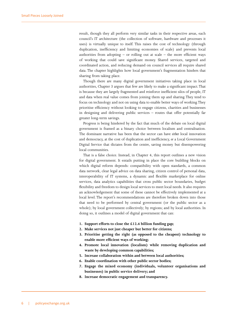result, though they all perform very similar tasks in their respective areas, each council's IT architecture (the collection of software, hardware and processes it uses) is virtually unique to itself. This raises the cost of technology (through duplication, inefficiency and limiting economies of scale) and prevents local authorities from adopting  $-$  or rolling out at scale  $-$  the more efficient ways of working that could save significant money. Shared services, targeted and coordinated action, and reducing demand on council services all require shared data. The chapter highlights how local government's fragmentation hinders that sharing from taking place.

Though there are many digital government initiatives taking place in local authorities, Chapter 3 argues that few are likely to make a significant impact. That is because they are largely fragmented and reinforce inefficient silos of people, IT and data when real value comes from joining them up and sharing. They tend to focus on technology and not on using data to enable better ways of working. They prioritise efficiency without looking to engage citizens, charities and businesses in designing and delivering public services – routes that offer potentially far greater long-term savings.

Progress is being hindered by the fact that much of the debate on local digital government is framed as a binary choice between localism and centralisation. The dominant narrative has been that the sector can have *either* local innovation and democracy, at the cost of duplication and inefficiency, *or* a Local Government Digital Service that dictates from the centre, saving money but disempowering local communities.

That is a false choice. Instead, in Chapter 4, this report outlines a new vision for digital government. It entails putting in place the core building blocks on which digital reform depends: compatibility with open standards, a common data network, clear legal advice on data sharing, citizen control of personal data, interoperability of IT systems, a dynamic and flexible marketplace for online services, data analytics capabilities that cross public sector boundaries, budget flexibility and freedom to design local services to meet local needs. It also requires an acknowledgement that some of these cannot be effectively implemented at a local level. The report's recommendations are therefore broken down into those that need to be performed by central government (or the public sector as a whole); by local government collectively; by regions; and by local authorities. In doing so, it outlines a model of digital government that can:

- **1. Support efforts to close the £12.4 billion funding gap;**
- **2. Make services not just cheaper but better for citizens;**
- **3. Prioritise getting the right (as opposed to the cheapest) technology to enable more efficient ways of working;**
- **4. Promote local innovation (localism) while removing duplication and waste by developing common capabilities;**
- **5. Increase collaboration within and between local authorities;**
- **6. Enable coordination with other public sector bodies;**
- **7. Engage the mixed economy (individuals, volunteer organisations and businesses) in public service delivery; and**
- **8. Increase democratic engagement and transparency.**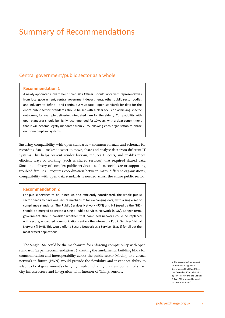## <span id="page-7-0"></span>Summary of Recommendations

#### Central government/public sector as a whole

#### **Recommendation 1**

A newly appointed Government Chief Data Officer<sup>7</sup> should work with representatives from local government, central government departments, other public sector bodies and industry, to define – and continuously update – open standards for data for the entire public sector. Standards should be set with a clear focus on achieving specific outcomes, for example delivering integrated care for the elderly. Compatibility with open standards should be highly recommended for 10 years, with a clear commitment that it will become legally mandated from 2025, allowing each organisation to phase out non-compliant systems.

Ensuring compatibility with open standards – common formats and schemas for recording data – makes it easier to move, share and analyse data from different IT systems. This helps prevent vendor lock-in, reduces IT costs, and enables more efficient ways of working (such as shared services) that required shared data. Since the delivery of complex public services – such as social care or supporting troubled families – requires coordination between many different organisations, compatibility with open data standards is needed across the entire public sector.

#### **Recommendation 2**

For public services to be joined up and efficiently coordinated, the whole public sector needs to have one secure mechanism for exchanging data, with a single set of compliance standards. The Public Services Network (PSN) and N3 (used by the NHS) should be merged to create a Single Public Services Network (SPSN). Longer term, government should consider whether that combined network could be replaced with secure, encrypted communication sent via the internet: a Public Services Virtual Network (PSvN). This would offer a Secure Network as a Service (SNaaS) for all but the most critical applications.

The Single PSN could be the mechanism for enforcing compatibility with open standards (as per Recommendation 1), creating the fundamental building block for communication and interoperability across the public sector. Moving to a virtual network in future (PSvN) would provide the flexibility and instant scalability to adapt to local government's changing needs, including the development of smart city infrastructure and integration with Internet of Things sensors.

7 The government announced its intention to appoint a Government Chief Data Officer in a December 2014 publication by HM Treasury and the Cabinet Office, 'Efficiency and Reform in the next Parliament'.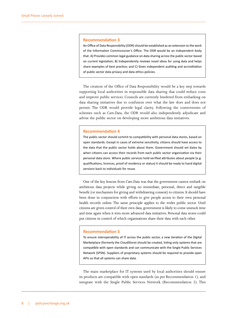#### **Recommendation 3**

An Office of Data Responsibility (ODR) should be established as an extension to the work of the Information Commissioner's Office. The ODR would be an independent body that: A) Provides common legal guidance on data sharing across the public sector based on current legislation; B) Independently reviews novel ideas for using data and helps share examples of best practice; and C) Gives independent auditing and accreditation of public sector data privacy and data ethics policies.

The creation of the Office of Data Responsibility would be a key step towards supporting local authorities in responsible data sharing that could reduce costs and improve public services. Councils are currently hindered from embarking on data sharing initiatives due to confusion over what the law does and does not permit. The ODR would provide legal clarity. Following the controversies of schemes such as <Care.Data>, the ODR would also independently adjudicate and advise the public sector on developing more ambitious data initiatives.

#### **Recommendation 4**

The public sector should commit to compatibility with personal data stores, based on open standards. Except in cases of extreme sensitivity, citizens should have access to the data that the public sector holds about them. Government should set dates by when citizens can access their records from each public sector organisation via their personal data store. Where public services hold verified attributes about people (e.g. qualifications, licences, proof of residency or status) it should be ready to hand digital versions back to individuals for reuse.

One of the key lessons from<Care.Data>was that the government cannot embark on ambitious data projects while giving no immediate, personal, direct and tangible benefit (or mechanism for giving and withdrawing consent) to citizens. It should have been done in conjunction with efforts to give people access to their own personal health records online. The same principle applies to the wider public sector. Until citizens are given control of their own data, government is likely to come unstuck time and time again when it tries more advanced data initiatives. Personal data stores could put citizens in control of which organisations share their data with each other.

#### **Recommendation 5**

To ensure interoperability of IT across the public sector, a new iteration of the Digital Marketplace (formerly the CloudStore) should be created, listing only systems that are compatible with open standards and can communicate with the Single Public Services Network (SPSN). Suppliers of proprietary systems should be required to provide open APIs so that all systems can share data.

The main marketplace for IT systems used by local authorities should ensure its products are compatible with open standards (as per Recommendation 1), and integrate with the Single Public Services Network (Recommendation 2). This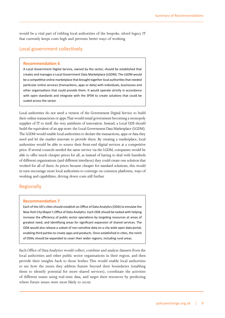would be a vital part of ridding local authorities of the bespoke, siloed legacy IT that currently keeps costs high and prevents better ways of working.

#### Local government collectively

#### **Recommendation 6**

A Local Government Digital Service, owned by the sector, should be established that creates and manages a Local Government Data Marketplace (LGDM). The LGDM would be a competitive online marketplace that brought together local authorities that needed particular online services (transactions, apps or data) with individuals, businesses and other organisations that could provide them. It would operate strictly in accordance with open standards and integrate with the SPSN to create solutions that could be scaled across the sector.

Local authorities do not need a version of the Government Digital Service to build their online transactions or apps. That would entail government becoming a monopoly supplier of IT to itself, the very antithesis of innovation. Instead, a Local GDS should build the equivalent of an app store: the Local Government Data Marketplace (LGDM). The LGDM would enable local authorities to declare the transactions, apps or data they need and let the market innovate to provide them. By creating a marketplace, local authorities would be able to source their front-end digital services at a competitive price. If several councils needed the same service via the LGDM, companies would be able to offer much cheaper prices for all, as instead of having to deal with hundreds of different organisations (and different interfaces) they could create one solution that worked for all of them. As prices became cheaper for standard solutions, this would in turn encourage more local authorities to converge on common platforms, ways of working and capabilities, driving down costs still further.

#### **Regionally**

#### **Recommendation 7**

Each of the UK's cities should establish an Office of Data Analytics (ODA) to emulate the New York City Mayor's Office of Data Analytics. Each ODA should be tasked with helping increase the efficiency of public sector operations by targeting resources at areas of greatest need, and identifying areas for significant expansion of shared services. The ODA would also release a subset of non-sensitive data on a city-wide open data portal, enabling third parties to create apps and products. Once established in cities, the remit of ODAs should be expanded to cover their wider regions, including rural areas.

Each Office of Data Analytics would collect, combine and analyse datasets from the local authorities and other public sector organisations in their region, and then provide their insights back to those bodies. This would enable local authorities to see how the issues they address feature beyond their boundaries (enabling them to identify potential for more shared services), coordinate the activities of different teams using real-time data, and target their resources by predicting where future issues were most likely to occur.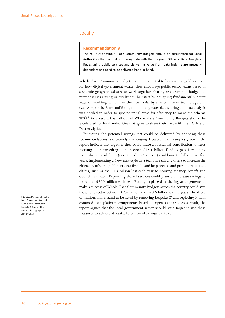#### Locally

#### **Recommendation 8**

The roll out of Whole Place Community Budgets should be accelerated for Local Authorities that commit to sharing data with their region's Office of Data Analytics. Redesigning public services and delivering value from data insights are mutually dependent and need to be delivered hand-in-hand.

Whole Place Community Budgets have the potential to become the gold standard for how digital government works. They encourage public sector teams based in a specific geographical area to work together, sharing resources and budgets to prevent issues arising or escalating. They start by designing fundamentally better ways of working, which can then be *enabled* by smarter use of technology and data. A report by Ernst and Young found that greater data sharing and data analysis was needed in order to spot potential areas for efficiency to make the scheme work.8 As a result, the roll out of Whole Place Community Budgets should be accelerated for local authorities that agree to share their data with their Office of Data Analytics.

Estimating the potential savings that could be delivered by adopting these recommendations is extremely challenging. However, the examples given in the report indicate that together they could make a substantial contribution towards meeting – or exceeding – the sector's £12.4 billion funding gap. Developing more shared capabilities (as outlined in Chapter 3) could save £1 billion over five years. Implementing a New York-style data team in each city offers to increase the efficiency of some public services fivefold and help predict and prevent fraudulent claims, such as the £1.3 billion lost each year to housing tenancy, benefit and Council Tax fraud. Expanding shared services could plausibly increase savings to more than £500 million each year. Putting in place data-sharing arrangements to make a success of Whole Place Community Budgets across the country could save the public sector between £9.4 billion and £20.6 billion over 5 years. Hundreds of millions more stand to be saved by removing bespoke IT and replacing it with commoditised platform components based on open standards. As a result, the report argues that the local government sector should set a target to use these measures to achieve at least £10 billion of savings by 2020.

8 Ernst and Young on behalf of Local Government Association, 'Whole Place Community Budgets: A Review of the Potential for Aggregation', January 2013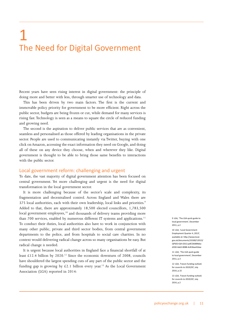# <span id="page-11-0"></span>1 The Need for Digital Government

Recent years have seen rising interest in digital government: the principle of doing more and better with less, through smarter use of technology and data.

This has been driven by two main factors. The first is the current and immovable policy priority for government to be more efficient. Right across the public sector, budgets are being frozen or cut, while demand for many services is rising fast. Technology is seen as a means to square the circle of reduced funding and growing need.

The second is the aspiration to deliver public services that are as convenient, seamless and personalised as those offered by leading organisations in the private sector. People are used to communicating instantly via Twitter, buying with one click on Amazon, accessing the exact information they need on Google, and doing all of these on any device they choose, when and wherever they like. Digital government is thought to be able to bring those same benefits to interactions with the public sector.

#### Local government reform: challenging and urgent

To date, the vast majority of digital government attention has been focused on central government. Yet more challenging and urgent is the need for digital transformation in the local government sector.

It is more challenging because of the sector's scale and complexity, its fragmentation and decentralised control. Across England and Wales there are 375 local authorities, each with their own leadership, local links and priorities.<sup>9</sup> Added to that, there are approximately 18,500 elected councillors, 1,783,500 local government employees,<sup>10</sup> and thousands of delivery teams providing more than 700 services, enabled by numerous different IT systems and applications.<sup>11</sup> To conduct their duties, local authorities also have to work in conjunction with many other public, private and third sector bodies, from central government departments to the police, and from hospitals to social care charities. In no context would delivering radical change across so many organisations be easy. But radical change *is* needed.

It is urgent because local authorities in England face a financial shortfall of at least £12.4 billion by 2020.<sup>12</sup> Since the economic downturn of 2008, councils have shouldered the largest spending cuts of any part of the public sector and the funding gap is growing by £2.1 billion every year.<sup>13</sup> As the Local Government Association (LGA) reported in 2014:

9 LGA, 'The LGA quick guide to local government', December 2011, p.2

10 LGA, 'Local Government Employment Quarter 4, 2013', available at: [http://www.local.](http://www.local.gov.uk/documents/10180/12013/QPSES+Q4+2013.pdf/2b089b6a-d330-4a62-8088-4c818aa42daa) [gov.uk/documents/10180/12013/](http://www.local.gov.uk/documents/10180/12013/QPSES+Q4+2013.pdf/2b089b6a-d330-4a62-8088-4c818aa42daa) [QPSES+Q4+2013.pdf/2b089b6a](http://www.local.gov.uk/documents/10180/12013/QPSES+Q4+2013.pdf/2b089b6a-d330-4a62-8088-4c818aa42daa)[d330-4a62-8088-4c818aa42daa](http://www.local.gov.uk/documents/10180/12013/QPSES+Q4+2013.pdf/2b089b6a-d330-4a62-8088-4c818aa42daa)

11 LGA, 'The LGA quick guide to local government', December 2011, p.3

12 LGA, 'Future funding outlook for councils to 2019/20', July 2014, p.15

13 LGA, 'Future funding outlook for councils to 2019/20', July 2014 n 2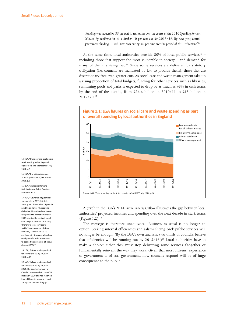*'Funding was reduced by 33 per cent in real terms over the course of the 2010 Spending Review, followed by confirmation of a further 10 per cent cut for 2015/16. By next year, central government funding… will have been cut by 40 per cent over the period of this Parliament.'*<sup>14</sup>

At the same time, local authorities provide 80% of local public services<sup>15</sup> – including those that support the most vulnerable in society – and demand for many of them is rising fast.<sup>16</sup> Since some services are delivered by statutory obligation (i.e. councils are mandated by law to provide them), those that are discretionary face even greater cuts. As social care and waste management take up a rising proportion of total budgets, funding for other services such as libraries, swimming pools and parks is expected to drop by as much as 43% in cash terms by the end of the decade, from £26.6 billion in 2010/11 to £15 billion in 2019/20.17



A graph in the LGA's 2014 *Future Funding Outlook* illustrates the gap between local authorities' projected incomes and spending over the next decade in stark terms (Figure  $1.2$ ).<sup>18</sup>

The message is therefore unequivocal. Business as usual is no longer an option. Seeking internal efficiencies and salami slicing back public services will no longer be enough. (By the LGA's own analysis, two thirds of councils believe that efficiencies will be running out by  $2015/16$ .)<sup>19</sup> Local authorities have to make a choice: either they must stop delivering some services altogether or fundamentally reinvent the way they work. Given that most citizens' experience of government is of *local* government, how councils respond will be of huge consequence to the public.

14 LGA, 'Transforming local public services using technology and digital tools and approaches', July 2014, p.6

15 LGA, 'The LGA quick guide to local government', December 2011, p.8

16 RSA, 'Managing Demand Building Future Public Services', February 2014

17 LGA, 'Future funding outlook for councils to 2019/20', July 2014, p.16. The number of people aged 65 and over who require daily disability-related assistance is expected to almost double by 2030, causing the costs of social care to spiral. Source: Local Gov, 'Transform local services to tackle 'huge pressure' of rising demand', 25 February 2014, available at: [http://www.localgov.](http://www.localgov.co.uk/Transform-local-services-to-tackle-huge-pressure-of-rising-demand/35707) [co.uk/Transform-local-services](http://www.localgov.co.uk/Transform-local-services-to-tackle-huge-pressure-of-rising-demand/35707)[to-tackle-huge-pressure-of-rising](http://www.localgov.co.uk/Transform-local-services-to-tackle-huge-pressure-of-rising-demand/35707)[demand/35707](http://www.localgov.co.uk/Transform-local-services-to-tackle-huge-pressure-of-rising-demand/35707)

18 LGA, 'Future funding outlook for councils to 2019/20', July 2014, p.15

19 LGA, 'Future funding outlook for councils to 2019/20', July 2014. The London borough of Camden alone needs to save £70 million by 2020 and has reported it would have to increase council tax by 83% to meet the gap.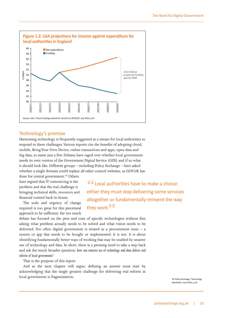

#### Technology's promise

Harnessing technology is frequently suggested as a means for local authorities to respond to these challenges. Various reports cite the benefits of adopting cloud, mobile, Bring Your Own Device, online transactions and apps, open data and big data, to name just a few. Debates have raged over whether local government needs its own version of the Government Digital Service (GDS) and if so what it should look like. Different groups – including Policy Exchange – have asked whether a single domain could replace all other council websites, as<GOV.UK>has

done for central government.<sup>20</sup> Others have argued that IT outsourcing is the problem and that the real challenge is bringing technical skills, resources and financial control back in-house.

The scale and urgency of change required is too great for this piecemeal approach to be sufficient. Far too much

**"**Local authorities have to make a choice: either they must stop delivering some services altogether or fundamentally reinvent the way they work**"**

debate has focused on the pros and cons of specific technologies without first asking what problem actually needs to be solved and what vision needs to be delivered. Too often digital government is treated as a procurement issue – a system or app that needs to be bought or implemented. It is not. It is about identifying fundamentally better ways of working that may be enabled by smarter use of technology and data. In short, there is a pressing need to take a step back and ask the much broader question: *how can smarter use of technology and data deliver real reform of local government?*

That is the purpose of this report.

And as the next chapter will argue, defining an answer must start by acknowledging that the single greatest challenge for delivering real reform in local government is fragmentation.

20 Policy Exchange, 'Technology Manifesto', June 2014, p.23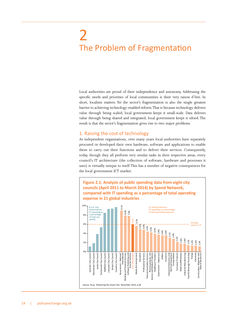# <span id="page-14-0"></span>2 The Problem of Fragmentation

Local authorities are proud of their independence and autonomy. Addressing the specific needs and priorities of local communities is their very raison d'être. In short, localism matters. Yet the sector's fragmentation is also the single greatest barrier to achieving technology-enabled reform. That is because technology delivers value through being scaled; local government keeps it small-scale. Data delivers value through being shared and integrated; local government keeps it siloed. The result is that the sector's fragmentation gives rise to two major problems.

#### 1. Raising the cost of technology

As independent organisations, over many years local authorities have separately procured or developed their own hardware, software and applications to enable them to carry out their functions and to deliver their services. Consequently, today, though they all perform very similar tasks in their respective areas, every council's IT architecture (the collection of software, hardware and processes it uses) is virtually unique to itself. This has a number of negative consequences for the local government ICT market.

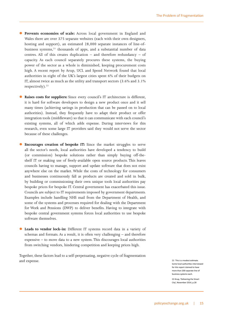- Prevents economies of scale: Across local government in England and Wales there are over 375 separate websites (each with their own designers, hosting and support), an estimated 28,000 separate instances of line-ofbusiness systems, $21$  thousands of apps, and a substantial number of data centres. All of this creates duplication – and therefore redundancy – of capacity. As each council separately procures these systems, the buying power of the sector as a whole is diminished, keeping procurement costs high. A recent report by Arup, UCL and [Spend Network](https://spendnetwork.com/) found that local authorities in eight of the UK's largest cities spent 6% of their budgets on IT, almost twice as much as the utility and transport sectors (3.6% and 3.1% respectively).<sup>22</sup>
- Raises costs for suppliers: Since every council's IT architecture is different, it is hard for software developers to design a new product once and it sell many times (achieving savings in production that can be passed on to local authorities). Instead, they frequently have to adapt their product or offer integration tools (middleware) so that it can communicate with each council's existing systems, all of which adds expense. During interviews for this research, even some large IT providers said they would not serve the sector because of these challenges.
- **Encourages creation of bespoke IT:** Since the market struggles to serve all the sector's needs, local authorities have developed a tendency to build (or commission) bespoke solutions rather than simply buying off-theshelf IT or making use of freely-available open source products. This leaves councils having to manage, support and update software that does not exist anywhere else on the market. While the costs of technology for consumers and businesses continuously fall as products are created and sold in bulk, by building or commissioning their own unique tools local authorities pay bespoke prices for bespoke IT. Central government has exacerbated this issue. Councils are subject to IT requirements imposed by government departments. Examples include handling NHS mail from the Department of Health, and some of the systems and processes required for dealing with the Department for Work and Pensions (DWP) to deliver benefits. Having to integrate with bespoke central government systems forces local authorities to use bespoke software themselves.
- **C** Leads to vendor lock-in: Different IT systems record data in a variety of schemas and formats. As a result, it is often very challenging – and therefore expensive – to move data to a new system. This discourages local authorities from switching vendors, hindering competition and keeping prices high.

Together, these factors lead to a self-perpetuating, negative cycle of fragmentation and expense.

21 This is a modest estimate. Some local authorities interviewed for this report claimed to have more than 200 separate line of business systems each.

22 Arup, 'Delivering the Smart City', November 2014, p.28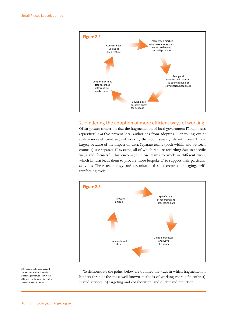

#### 2. Hindering the adoption of more efficient ways of working

Of far greater concern is that the fragmentation of local government IT reinforces *organisational silos* that prevent local authorities from adopting – or rolling out at scale – more efficient ways of working that could save significant money. This is largely because of the impact on data. Separate teams (both within and between councils) use separate IT systems, all of which require recording data in specific ways and formats.<sup>23</sup> This encourages those teams to work in different ways, which in turn leads them to procure more bespoke IT to support their particular activities. These technology and organisational silos create a damaging, selfreinforcing cycle.



To demonstrate the point, below are outlined the ways in which fragmentation hinders three of the most well-known methods of working more efficiently: a) shared services, b) targeting and collaboration, and c) demand reduction.

23 These specific schemas and formats can also be driven by policy/regulation, as seen in the different requirements for adults' and children's social care.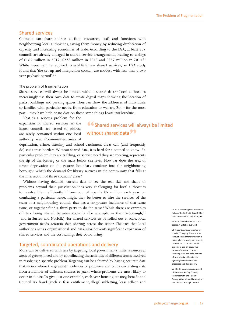#### Shared services

Councils can share and/or co-fund resources, staff and functions with neighbouring local authorities, saving them money by reducing duplication of capacity and increasing economies of scale. According to the LGA, at least 337 councils are already engaged in shared service arrangements, leading to savings of £165 million in 2012, £278 million in 2013 and £357 million in 2014.<sup>24</sup> While investment is required to establish new shared services, an LGA study found that 'the set up and integration costs… are modest with less than a two year payback period'.25

#### The problem of fragmentation

Shared services will always be limited without shared data.<sup>26</sup> Local authorities increasingly use their own data to create digital maps showing the location of parks, buildings and parking spaces. They can show the addresses of individuals or families with particular needs, from education to welfare. But – for the most part – they have little or no data on those same things *beyond their boundaries*.

That is a serious problem for the expansion of shared services as the issues councils are tasked to address are rarely contained within one local authority area. Communities, areas of

### **"**Shared services will always be limited without shared data<sup>99</sup>

deprivation, crime, littering and school catchment areas can (and frequently do) cut across borders. Without shared data, it is hard for a council to know if a particular problem they are tackling, or service need they are meeting, represents the tip of the iceberg or the mass below sea level. How far does the area of urban deprivation on the eastern boundary continue into the neighbouring borough? What's the demand for library services in the community that falls at the intersection of three councils' areas?

Without having detailed, current data to see the real size and shape of problems beyond their jurisdiction it is very challenging for local authorities to resolve them efficiently. If one council spends  $£5$  million each year on combating a particular issue, might they be better to hire the services of the team of a neighbouring council that has a far greater incidence of that same issue, or together fund a third party to do the same? While there are examples of data being shared between councils (for example in the Tri-borough,<sup>27</sup> and in Surrey and Norfolk), for shared services to be rolled out at scale, local government needs *systematic* data sharing across the sector. The fact that local authorities act as organisational and data silos prevents significant expansion of shared services and the cost savings they could bring.

#### Targeted, coordinated operations and delivery

More can be delivered with less by targeting local government's finite resources at areas of greatest need and by coordinating the activities of different teams involved in resolving a specific problem. Targeting can be achieved by having accurate data that shows where the greatest incidences of problems are, or by correlating data from a number of different sources to *predict* where problems are most likely to occur in future. To give just one example, each year housing tenancy, benefit and Council Tax fraud (such as false entitlement, illegal subletting, lease sell-on and 24 LGA, 'Investing In Our Nation's Future: The First 100 Days Of The Next Government', July 2014, p.4

25 LGA, 'Shared Services: costs spared?', October 2014, p.5

26 A point explored in detail in: Localis, 'Changing Places – how innovation and transformation is taking place in local government', October 2013. Lack of shared systems is also an issue. The causes of that are complex, including inter alia: cost, notions of sovereignty, difficulties in agreeing common business processes and data quality.

27 The Tri-borough is composed of Westminster City Council, Hammersmith and Fulham Borough Council, and Kensington and Chelsea Borough Council.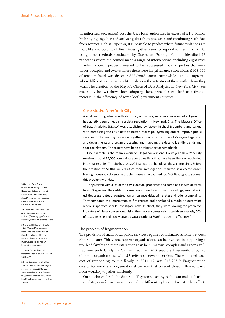unauthorised succession) cost the UK's local authorities in excess of £1.3 billion. By bringing together and analysing data from past cases and combining with data from sources such as Experian, it is possible to predict where future violations are most likely to occur and direct investigative teams to respond to them first. A trial using these methods conducted by Gravesham Borough Council identified 75 properties where the council made a range of interventions, including eight cases in which council property needed to be repossessed, four properties that were under-occupied and twelve where there were illegal tenancy successions.  $£108,000$ of tenancy fraud was discovered.<sup>28</sup> Coordination, meanwhile, can be improved when different teams have real-time data on the activities of those with whom they work. The creation of the Mayor's Office of Data Analytics in New York City (see case study below) shows how adopting these principles can lead to a fivefold increase in the efficiency of some local government activities.

#### **Case study: New York City**

A small team of graduates with statistical, economics, and computer science backgrounds has quietly been unleashing a data revolution in New York City. The Mayor's Office of Data Analytics (MODA) was established by Mayor Michael Bloomberg and tasked with harnessing the city's data to better inform policymaking and to improve public services.<sup>29</sup> The team systematically gathered records from the city's myriad agencies and departments and began processing and mapping the data to identify trends and spot correlations. The results have been nothing short of remarkable.

One example is the team's work on illegal conversions. Every year New York City receives around 25,000 complaints about dwellings that have been illegally subdivided into smaller units. The city has just 200 inspectors to handle all these complaints. Before the creation of MODA, only 13% of their investigations resulted in a vacate order, leaving thousands of genuine problem cases unaccounted for. MODA sought to address this problem with data.

They started with a list of the city's 900,000 properties and combined it with datasets from 19 agencies. They added information such as foreclosure proceedings, anomalies in utilities usage, dates of construction, ambulance visits, crime rates and rodent complaints. They compared this information to fire records and developed a model to determine where inspectors should investigate next. In short, they were looking for predictive indicators of illegal conversions. Using their more aggressively data-driven analysis, 70% of cases investigated now warrant a vacate order: a 500% increase in efficiency.<sup>30</sup>

#### The problem of fragmentation

The provision of many local public services requires coordinated activity between different teams. Thirty-one separate organisations can be involved in supporting a troubled family and their interactions can be numerous, complex and expensive.<sup>31</sup> Just one such family in Oldham required 410 separate interventions by 25 different organisations, with 32 referrals between services. The estimated total cost of responding to this family in 2011–12 was £47,235.<sup>32</sup> Fragmentation creates technical and organisational barriers that prevent those different teams from working together efficiently.

On a technical level, the different IT systems used by each team make it hard to share data, as information is recorded in different styles and formats. This affects

28 Fujitsu, 'Case Study: Gravesham Borough Council', November 2013, available at: [http://www.fujitsu.com/fts/](http://www.fujitsu.com/fts/about/resources/case-studies/CS-Gravesham-Borough-Council-171013.html) [about/resources/case-studies/](http://www.fujitsu.com/fts/about/resources/case-studies/CS-Gravesham-Borough-Council-171013.html) [CS-Gravesham-Borough-](http://www.fujitsu.com/fts/about/resources/case-studies/CS-Gravesham-Borough-Council-171013.html)[Council-171013.html](http://www.fujitsu.com/fts/about/resources/case-studies/CS-Gravesham-Borough-Council-171013.html)

#### 29 See Mayor's Office of Data Analytics website, available at: [http://www.nyc.gov/html/](http://www.nyc.gov/html/analytics/html/home/home.shtml) [analytics/html/home/home.shtml](http://www.nyc.gov/html/analytics/html/home/home.shtml)

30 Michael P. Flowers, Chapter 15 of: 'Beyond Transparency: Open Data and the Future of Civic Innovation', Edited by Brett Goldstein with Lauren Dyson, available at: [http://](http://beyondtransparency.org) [beyondtransparency.org](http://beyondtransparency.org)

31 LGiU, 'Technology and transformation in town halls', July 2014, p.25

32 The Guardian, 'Eric Pickles tells councils to cut spending on problem families', 23 January 2013, available at: [http://www.](http://www.theguardian.com/politics/2013/jan/23/eric-pickles-cuts-problem-families) [theguardian.com/politics/2013/](http://www.theguardian.com/politics/2013/jan/23/eric-pickles-cuts-problem-families) [jan/23/eric-](http://www.theguardian.com/politics/2013/jan/23/eric-pickles-cuts-problem-families)pickles-cuts-problemfamilies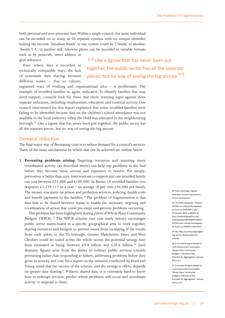both personal and non-personal data. Within a single council, the same individual can be recorded on as many as 30 separate systems with no unique identifier linking the records. 'Jonathan Smith' in one system could be 'J Smith' in another; 'Smith, J. A.' in another still. Likewise places can be recorded in variable formats

such as by postcode, street address or grid reference.

Even where data *is* recorded in technically compatible ways, the lack of systematic data sharing between different teams – due to culture,

**"**Like a jigsaw that has never been put together, the public sector has all the separate pieces, but no way of seeing the big picture**"**

ingrained ways of working and organisational silos – is problematic. The example of troubled families is, again, indicative. To identify families that may need support, councils look for those that show warning signs against three separate indicators, including employment, education and criminal activity. One council interviewed for this report explained that some troubled families were failing to be identified because data on the children's school attendance was not available to the local authority when the child was educated in the neighbouring borough.<sup>33</sup> Like a jigsaw that has never been put together, the public sector has all the separate pieces, but no way of seeing the big picture.

#### Demand reduction

The final major way of decreasing costs is to reduce demand for a council's services. Three of the main mechanisms by which that can be achieved are outline below:

**1. Preventing problems arising:** Targeting resources and ensuring more coordinated activity (as described above) can help nip problems in the bud before they become more serious and expensive to resolve. Put simply: prevention is better than cure. Interventions to support just one troubled family can cost between £75,000 and £100,000. In Barnet 18 troubled families cost taxpayers £1,729,112 in a year – an average of just over £96,000 per family. The money was spent on prison and probation services, policing, health costs and benefit payments to the families.<sup>34</sup> The problem of fragmentation is that data fails to be shared between teams to enable the necessary targeting and coordination of action that could pre-empt and prevent problems occurring.

This problem has been highlighted during pilots of Whole Place Community Budgets (WPCB).<sup>35</sup> The WPCB scheme (see case study below) encourages public sector teams based in a specific geographical area to work together, sharing resources and budgets to prevent issues from escalating. If the results from early pilots in the Tri-borough, Greater Manchester, Essex and West Cheshire could be scaled across the whole sector, the potential savings have been estimated at being between £9.4 billion and £20.6 billion.<sup>36</sup> Such dramatic figures arise from the ability to redirect public services towards preventing rather than responding to failure, addressing problems before they grow in severity and cost. Yet a report on the initiative conducted by Ernst and Young noted that the success of the scheme, and the savings it offers, depends on greater data sharing.<sup>37</sup> Without shared data, it is extremely hard to know how to redesign services, predict where problems will occur and coordinate activity to respond to them.

33 Policy Exchange original interview. Council requested to remain anonymous.

34 The Daily Telegraph, 'Problem families are costing the taxpayer as much as £345,000 a year', 23 January 2013, available at: [http://www.telegraph.co.uk/](http://www.telegraph.co.uk/news/politics/9819689/Problem-families-are-costing-the-taxpayer-as-much-as-345000-a-year.html) [news/politics/9819689/Problem](http://www.telegraph.co.uk/news/politics/9819689/Problem-families-are-costing-the-taxpayer-as-much-as-345000-a-year.html)[families-are-costing-the-taxpayer](http://www.telegraph.co.uk/news/politics/9819689/Problem-families-are-costing-the-taxpayer-as-much-as-345000-a-year.html)[as-much-as-345000-a-year.html](http://www.telegraph.co.uk/news/politics/9819689/Problem-families-are-costing-the-taxpayer-as-much-as-345000-a-year.html)

35 See [http://communitybudgets.](http://communitybudgets.org.uk) [org.uk/](http://communitybudgets.org.uk) for details about the scheme

36 Ernst and Young on behalf of Local Government Association, 'Whole Place Community Budgets: A Review of the Potential for Aggregation', January 2013, p.1

37 Ernst and Young on behalf of Local Government Association, 'Whole Place Community Budgets: A Review of the Potential for Aggregation', January 2013, p.22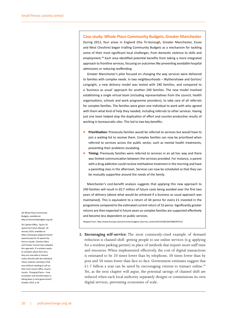**Case study: Whole Place Community Budgets, Greater Manchester** During 2012, four areas in England (the Tri-borough, Greater Manchester, Essex and West Cheshire) began trialling Community Budgets as a mechanism for tackling some of their most significant local challenges, from domestic violence to skills and employment.<sup>38</sup> Each area identified potential benefits from taking a more integrated approach to frontline services, focusing on outcomes like preventing avoidable hospital admissions or reducing reoffending.

Greater Manchester's pilot focused on changing the way services were delivered to families with complex needs. In two neighbourhoods – Wythenshawe and Gorton/ Longsight, a new delivery model was tested with 240 families, and compared to a 'business as usual' approach for another 240 families. The new model involved establishing a single virtual team (including representatives from the council, health organisations, schools and work programme providers), to take care of all referrals for complex families. The families were given one individual to work with who agreed with them what kind of help they needed, including referrals to other services. Having just one team helped stop the duplication of effort and counter-productive results of working in bureaucratic silos. This led to two key benefits:

- z **Prioritisation:** Previously families would be referred to services but would have to join a waiting list to receive them. Complex families can now be prioritised when referred to services across the public sector, such as mental health treatments, preventing their problems escalating.
- **Timing:** Previously families were referred to services in an ad hoc way and there was limited communication between the services provided. For instance, a parent with a drug addiction could receive methadone treatment in the morning and have a parenting class in the afternoon. Services can now be scheduled so that they can be mutually supportive around the needs of the family.

Manchester's cost-benefit analysis suggests that applying this new approach to 240 families will result in £0.7 million of future costs being avoided over the first two years of delivery (above what would be achieved if a business as usual approach was maintained). This is equivalent to a return of 44 pence for every £1 invested in the programme compared to the estimated current return of 32 pence. Significantly greater returns are then expected in future years as complex families are supported effectively and become less dependent on public services.

Adapted from: http://www.local.gov.uk/community-budgets/-/journal\_content/56/10180/3691988/ARTICLE

**2. Encouraging self-service:** The most commonly-cited example of demand reduction is channel shift: getting people to use online services (e.g. applying for a resident parking permit) in place of methods that require more staff time and resources. When implemented effectively, the cost of digital transactions is estimated to be 20 times lower than by telephone, 30 times lower than by post and 50 times lower than face-to-face. Government estimates suggest that  $£1.7$  billion a year can be saved by encouraging citizens to transact online.<sup>39</sup> Yet, as the next chapter will argue, the potential savings of channel shift are reduced when each local authority separately designs or commissions its own digital services, preventing economies of scale.

38 Whole Place Community Budgets, available at: [http://communitybudgets.org.uk/](http://communitybudgets.org.uk)

39 Cabinet Office, 'Sprint 14: speech by Francis Maude', 29 January 2014, available at: [https://www.gov.uk/government/](https://www.gov.uk/government/speeches/sprint-14-speech-by-francis-maude) [speeches/sprint](https://www.gov.uk/government/speeches/sprint-14-speech-by-francis-maude)-14-speech-byfrancis-maude. Cheshire West and Chester Council have adopted this approach. If a resident wants to complain about their bins, they are now able to interact online directly with the individual refuse collector working in that area without needing to call up their local council office. Source: Localis, 'Changing Places – how innovation and transformation is taking place in local government', October 2013, p.16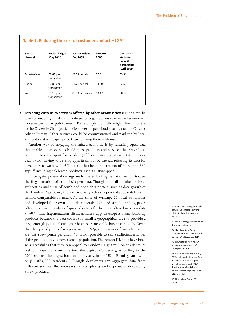| Source<br>channel | Socitm insight<br>May 2012 | Socitm insight<br>Dec 2009 | <b>NWeGG</b><br>2006 | Consultant<br>study for<br>council<br>partnership<br><b>April 2009</b> |
|-------------------|----------------------------|----------------------------|----------------------|------------------------------------------------------------------------|
| Face-to-face      | $£8.62$ per<br>transaction | £8.23 per visit            | £7.81                | £5.51                                                                  |
| Phone             | $£2.83$ per<br>transaction | £3.21 per call             | £4.00                | £2.53                                                                  |
| Web               | $£0.15$ per<br>transaction | £0.39 per visitor          | £0.17                | £0.17                                                                  |

**3. Directing citizens to services offered by other organisations:** Funds can be saved by enabling third and private sector organisations (the 'mixed economy') to serve particular public needs. For example, councils might direct citizens to the Casserole Club (which offers peer-to-peer food sharing) or the Citizens Advice Bureau. Other services could be commissioned and paid for by local authorities at a cheaper price than running them in-house.

Another way of engaging the mixed economy is by releasing open data that enables developers to build apps, products and services that serve local communities. Transport for London (TfL) estimates that it saves £4 million a year by not having to develop apps itself, but by instead releasing its data for developers to work with.<sup>41</sup> The result has been the creation of more than 350 apps,42 including celebrated products such as CityMapper.

Once again, potential savings are hindered by fragmentation – in this case, the fragmentation of councils' open data. Though a small number of local authorities make use of combined open data portals, such as <data.gov.uk> or the London Data Store, the vast majority release open data separately (and in non-comparable formats). At the time of writing, 21 local authorities had developed their own open data portals; 224 had simple landing pages offering a small number of spreadsheets; a further 192 offered no open data at all.<sup>43</sup> This fragmentation disincentivises app developers from building products because the data covers too small a geographical area to provide a large enough potential customer base to create viable business models. Given that the typical price of an app is around 69p, and revenues from advertising are just a few pence per click, $44$  it is not possible to sell a sufficient number if the product only covers a small population. The reason TfL apps have been so successful is that they can appeal to London's eight million residents, as well as those that commute into the capital. Conversely, according to the 2011 census, the largest local authority area in the UK is Birmingham, with only 1,073,000 residents.<sup>45</sup> Though developers can aggregate data from different sources, this increases the complexity and expense of developing a new product.

40 LGA, 'Transforming local public services using technology and digital tools and approaches', July 2014

41 Policy Exchange interview with Transport for London

42 TfL, 'Open Data Audit: Smartphone apps powered by TfL open data', 5 November 2014

43 Figures taken from [http://](http://www.owenboswarva.com/localopendata.htm) [www.owenboswarva.com/](http://www.owenboswarva.com/localopendata.htm) [localopendata.htm](http://www.owenboswarva.com/localopendata.htm)

44 According to Flurry, in 2013, 90% of all apps in the Apple App Store were free. See: [http://](http://www.flurry.com/bid/99013/The-History-of-App-Pricing-And-Why-Most-Apps-Are-Free#.VGoOz_msWfg) [www.flurry.com/bid/99013/](http://www.flurry.com/bid/99013/The-History-of-App-Pricing-And-Why-Most-Apps-Are-Free#.VGoOz_msWfg) [The](http://www.flurry.com/bid/99013/The-History-of-App-Pricing-And-Why-Most-Apps-Are-Free#.VGoOz_msWfg)-History-of-App-Pricing-And-Why-Most-Apps-Are-Free#. VGoOz\_msWfg

45 Birmingham Census 2011 report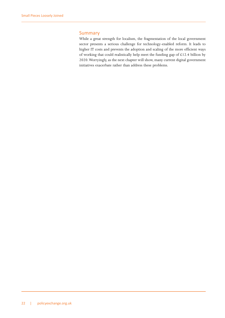#### Summary

While a great strength for localism, the fragmentation of the local government sector presents a serious challenge for technology-enabled reform. It leads to higher IT costs and prevents the adoption and scaling of the more efficient ways of working that could realistically help meet the funding gap of  $£12.4$  billion by 2020. Worryingly, as the next chapter will show, many current digital government initiatives exacerbate rather than address these problems.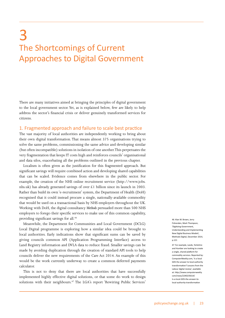# <span id="page-23-0"></span>3 The Shortcomings of Current Approaches to Digital Government

There are many initiatives aimed at bringing the principles of digital government to the local government sector. Yet, as is explained below, few are likely to help address the sector's financial crisis or deliver genuinely transformed services for citizens.

#### 1. Fragmented approach and failure to scale best practice

The vast majority of local authorities are independently working to bring about their own digital transformation. That means almost 375 organisations trying to solve the same problems, commissioning the same advice and developing similar (but often incompatible) solutions in isolation of one another. This perpetuates the very fragmentation that keeps IT costs high and reinforces councils' organisational and data silos, exacerbating all the problems outlined in the previous chapter.

Localism is often given as the justification for this fragmented approach. But significant savings will require combined action and developing shared capabilities that can be scaled. Evidence comes from elsewhere in the public sector. For example, the creation of the NHS online recruitment service ([http://www.jobs.](http://www.jobs.nhs.uk) [nhs.uk\)](http://www.jobs.nhs.uk) has already generated savings of over £1 billion since its launch in 2003. Rather than build its own 'e-recruitment' system, the Department of Health (DoH) recognised that it could instead procure a single, nationally-available commodity that would be used on a transactional basis by NHS employers throughout the UK. Working with DoH, the digital consultancy *Methods* persuaded more than 500 NHS employers to forego their specific services to make use of this common capability, providing significant savings for all.<sup>46</sup>

Meanwhile, the Department for Communities and Local Government (DCLG) Local Digital programme is exploring how a similar idea could be brought to local authorities. Early indications show that significant sums can be saved by giving councils common API (Application Programming Interface) access to Land Registry information and DVLA data to reduce fraud. Smaller savings can be made by avoiding duplication through the creation of standard API tools to help councils deliver the new requirements of the Care Act 2014. An example of this would be the work currently underway to create a common deferred payments calculator.

This is not to deny that there are local authorities that have successfully implemented highly effective digital solutions, or that some do work to design solutions with their neighbours.<sup>47</sup> The LGA's report 'Rewiring Public Services'

46 Alan W. Brown, Jerry Fishenden, Mark Thompson, 'Digitizing Government, Understanding and Implementing New Digital Business Models', Methods Digital, December 2014, p.121

47 For example, Leeds, Yorkshire and Humber are looking to create a single, shared platform for commodity services. Reported by: <ComputerWeekly.com>, 'Is a local GDS the answer to local authority transformation? Lessons from the Labour digital review', available at: [http://www.computerweekly.](http://www.computerweekly.com/news/2240235614/Is-a-local-GDS-the-answer-to-local-authority-transformation) [com/news/2240235614/](http://www.computerweekly.com/news/2240235614/Is-a-local-GDS-the-answer-to-local-authority-transformation) [Is](http://www.computerweekly.com/news/2240235614/Is-a-local-GDS-the-answer-to-local-authority-transformation)-a-local-GDS-the-answer-tolocal-authority-transformation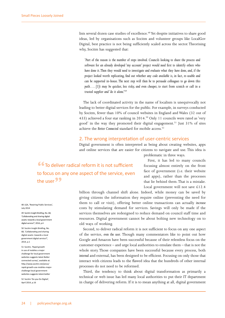lists several dozen case studies of excellence.<sup>48</sup> Yet despite initiatives to share good ideas, led by organisations such as Socitm and volunteer groups like LocalGov Digital, best practice is not being sufficiently scaled across the sector. Theorising why, Socitm has suggested that:

*'Part of the reason is the number of steps involved. Councils looking to share the process and software for an already developed 'my account' project would need first to identify others who have done it. Then they would need to investigate and evaluate what they have done, and, if the project looked worth replicating, find out whether any code available is, in fact, re-usable and can be supported in-house. The next step will then be to persuade colleagues to go down this path…. [I]t may be quicker, less risky, and even cheaper, to start from scratch or call in a trusted supplier and 'do it alone.'*<sup>49</sup>

The lack of coordinated activity in the name of localism is unequivocally not leading to better digital services for the public. For example, in surveys conducted by Socitm, fewer than 10% of council websites in England and Wales (32 out of 433) achieved a four star ranking in 2014.<sup>50</sup> Only 11 councils were rated as 'very good' in the way they promoted their digital engagement.<sup>51</sup> Just 31% of sites achieve the *Better Connected* standard for mobile access.<sup>52</sup>

#### 2. The wrong interpretation of user-centric services

Digital government is often interpreted as being about creating websites, apps and online services that are easier for citizens to navigate and use. This idea is problematic in three ways.

**"**To deliver radical reform it is not sufficient to focus on any one aspect of the service, even the user**"**

First, it has led to many councils focusing almost entirely on the front face of government (i.e. their website and apps), rather than the processes that lie behind them. That is a mistake. Local government will not save £12.4

billion through channel shift alone. Indeed, while money can be saved by giving citizens the information they require online (preventing the need for them to call or visit), offering better online transactions can actually *increase* costs by stimulating demand for services. Savings will only be made if the services themselves are redesigned to reduce demand on council staff time and resources. Digital government cannot be about bolting new technology on to old ways of working.

Second, to deliver radical reform it is not sufficient to focus on any one aspect of the service, *even the user*. Though many commentators like to point out how Google and Amazon have been successful because of their relentless focus on the customer experience – and urge local authorities to emulate them – that is not the whole story. Those companies have been successful because every process, both *internal* and external, has been designed to be efficient. Focusing on only those that interact with citizens leads to the flawed idea that the hundreds of other internal processes do not need to be reformed.

Third, the tendency to think about digital transformation as primarily a technical or web issue has led many local authorities to put their IT department in charge of delivering reform. If it is to mean anything at all, digital government

48 LGA, 'Rewiring Public Services', July 2014

49 Socitm Insight Briefing, No. 68, 'Collaborating and sharing digital assets: towards a local government digital service?', 2014, p.4

50 Socitm Insight Briefing, No. 68, 'Collaborating and sharing digital assets: towards a local government digital service?', 2014, p.1

51 Socitm, 'Rapid growth in use of mobiles a major challenge for local government websites suggests latest Better connected survey', available at: [http://www.socitm.net/press/](http://www.socitm.net/press/rapid-growth-use-mobiles-major-challenge-local-government-websites-suggests-latest-better) [rapid](http://www.socitm.net/press/rapid-growth-use-mobiles-major-challenge-local-government-websites-suggests-latest-better)-growth-use-mobiles-majorchallenge-local-governmentwebsites-suggests-latest-better 52 Socitm 'Do you Do Digital',

April 2014, p.16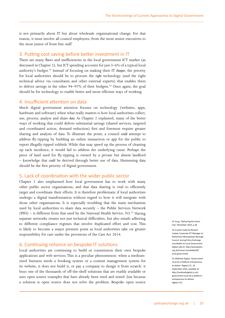is not primarily about IT but about wholesale organisational change. For that reason, it must involve all council employees, from the most senior executives to the most junior of front line staff.

#### 3. Putting cost saving before better investment in IT

There are many flaws and inefficiencies in the local government ICT market (as discussed in Chapter 2), but ICT spending accounts for just 3–6% of a typical local authority's budget.53 Instead of focusing on making their IT *cheaper*, the priority for local authorities should be to procure the *right* technology (and the right technical advice via consultants and other external experts) that enables them to deliver savings in the other  $94-97\%$  of their budgets.<sup>54</sup> Once again, the goal should be for technology to enable better and more efficient ways of working.

#### 4. Insufficient attention on data

Much digital government attention focuses on technology (websites, apps, hardware and software) when what really matters is how local authorities collect, use, process, analyse and share *data*. As Chapter 2 explained, many of the better ways of working that could deliver substantial savings (shared services, targeted and coordinated action, demand reduction) first and foremost require greater sharing and analysis of data. To illustrate the point, a council *could* attempt to address fly-tipping by building an online transaction or app for the public to report illegally-tipped rubbish. While that may speed up the process of cleaning up each incidence, it would fail to address the underlying cause. Perhaps the piece of land used for fly-tipping is owned by a private but absent landlord – knowledge that *could* be derived through better use of data. Harnessing data should be the first priority of digital government.

#### 5. Lack of coordination with the wider public sector

Chapter 2 also emphasised how local government has to work with many other public sector organisations, and that data sharing is vital to efficiently target and coordinate their efforts. It is therefore problematic if local authorities undergo a digital transformation without regard to how it will integrate with those other organisations. It is especially troubling that the main mechanism used by local authorities to share data securely – the Public Services Network (PSN) – is different from that used by the National Health Service, N3.55 Having separate networks creates not just technical difficulties, but also entails adhering to different compliance regimes that involve duplicated effort and cost. This is likely to become a major pressure point as local authorities take on greater responsibility for care under the provisions of the Care Act 2014.

#### 6. Continuing reliance on bespoke IT solutions

Local authorities are continuing to build or commission their own bespoke applications and web services. This is a peculiar phenomenon: when a mediumsized business needs a booking system or a content management system for its website, it does not build it, or pay a company to design it from scratch: it buys one of the thousands of off-the-shelf solutions that are readily available or uses open source examples that have already been tried and tested. Just because a solution is open source does not solve the problem. Bespoke open source

53 Arup, 'Delivering the Smart City', November 2014, p.28

54 A point made by Richard Copley, Corporate ICT Manager at Rotherham Metropolitan Borough Council, during Policy Exchange roundtable on Local Government Digital reform: [http://policybytes.](http://policybytes.org.uk/virtual) [org.uk/virtual-](http://policybytes.org.uk/virtual)roundtable/#!/ local-government

55 Methods Digital, 'Government must be a Platform Entrepreneur to deliver 'Digital 2.0', 19 September 2014, available at: [http://methodsdigital.co.uk/](http://methodsdigital.co.uk/government) [government-](http://methodsdigital.co.uk/government)must-be-a-platformentrepreneur-to-deliverdigital-2-0/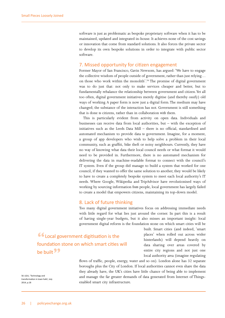software is just as problematic as bespoke proprietary software when it has to be maintained, updated and integrated in-house. It achieves none of the cost savings or innovation that come from standard solutions. It also forces the private sector to develop its own bespoke solutions in order to integrate with public sector software.

#### 7. Missed opportunity for citizen engagement

Former Mayor of San Francisco, Gavin Newsom, has argued: 'We have to engage the collective wisdom of people outside of government, rather than just relying… on those who work within the monolith'.56 The promise of digital government was to do just that: not only to make services cheaper and better, but to fundamentally rebalance the relationship between government and citizen. Yet all too often, digital government initiatives merely digitise (and thereby ossify) old ways of working. A paper form is now just a digital form. The medium may have changed; the substance of the interaction has not. Government is still something that is done *to* citizens, rather than in collaboration *with* them.

This is particularly evident from activity on open data. Individuals and businesses can receive data from local authorities, but – with the exception of initiatives such as the Leeds Data Mill – there is no official, standardised and automated mechanism to provide data *to* government. Imagine, for a moment, a group of app developers who wish to help solve a problem in their local community, such as graffiti, bike theft or noisy neighbours. Currently, they have no way of knowing what data their local council needs or what format it would need to be provided in. Furthermore, there is no automated mechanism for delivering the data in machine-readable format to connect with the council's IT system. Even if the group did manage to build a system that worked for one council, if they wanted to offer the same solution to another, they would be likely to have to create a completely bespoke system to meet each local authority's IT needs. Where Google, Wikipedia and TripAdvisor have revolutionised ways of working by sourcing information *from* people, local government has largely failed to create a model that empowers citizens, maintaining its top-down model.

#### 8. Lack of future thinking

Too many digital government initiatives focus on addressing immediate needs with little regard for what lies just around the corner. In part this is a result of having single-year budgets, but it also misses an important insight: local government digital reform is the foundation stone on which smart cities will be

**"**Local government digitisation is the foundation stone on which smart cities will be built<sup>99</sup>

built. Smart cities (and indeed, 'smart places' when rolled out across wider hinterlands) will depend heavily on data sharing over areas covered by entire city regions and not just one local authority area (imagine regulating

flows of traffic, people, energy, water and so on). London alone has 32 separate boroughs plus the City of London. If local authorities cannot even share the data they already have, the UK's cities have little chance of being able to implement and manage the far greater demands of data generated from Internet of Thingsenabled smart city infrastructure.

56 LGiU, 'Technology and transformation in town halls', July 2014, p.18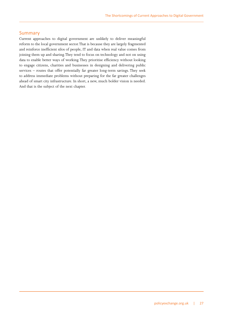#### Summary

Current approaches to digital government are unlikely to deliver meaningful reform to the local government sector. That is because they are largely fragmented and reinforce inefficient silos of people, IT and data when real value comes from joining them up and sharing. They tend to focus on technology and not on using data to enable better ways of working. They prioritise efficiency without looking to engage citizens, charities and businesses in designing and delivering public services – routes that offer potentially far greater long-term savings. They seek to address immediate problems without preparing for the far greater challenges ahead of smart city infrastructure. In short, a new, much bolder vision is needed. And that is the subject of the next chapter.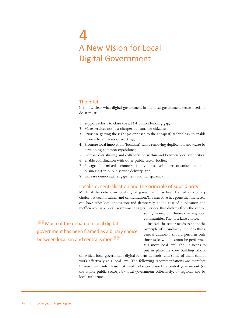# <span id="page-28-0"></span>4 A New Vision for Local Digital Government

#### The brief

It is now clear what digital government in the local government sector needs to do. It must:

- 1. Support efforts to close the £12.4 billion funding gap;
- 2. Make services not just cheaper but *better* for citizens;
- 3. Prioritise getting the right (as opposed to the cheapest) technology to enable more efficient ways of working;
- 4. Promote local innovation (localism) while removing duplication and waste by developing common capabilities;
- 5. Increase data sharing and collaboration within and between local authorities;
- 6. Enable coordination with other public sector bodies;
- 7. Engage the mixed economy (individuals, volunteer organisations and businesses) in public service delivery; and
- 8. Increase democratic engagement and transparency.

#### Localism, centralisation and the principle of subsidiarity

Much of the debate on local digital government has been framed as a binary choice between localism and centralisation. The narrative has gone that the sector can have *either* local innovation and democracy, at the cost of duplication and inefficiency; *or* a Local Government Digital Service that dictates from the centre,

saving money but disempowering local communities. That is a false choice.

Instead, the sector needs to adopt the principle of subsidiarity: the idea that a central authority should perform only those tasks which cannot be performed at a more local level. The UK needs to put in place the core building blocks

on which local government digital reform depends, and some of them cannot work effectively at a local level. The following recommendations are therefore broken down into those that need to be performed by central government (or the whole public sector); by local government collectively; by regions; and by local authorities.

**"**Much of the debate on local digital government has been framed as a binary choice between localism and centralisation**"**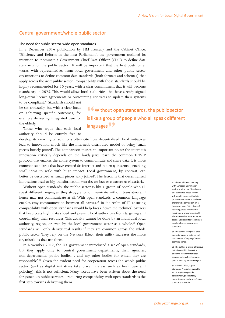#### Central government/whole public sector

#### The need for public sector-wide open standards

In a December 2014 publication by HM Treasury and the Cabinet Office, 'Efficiency and Reform in the next Parliament', the government outlined its intention to 'nominate a Government Chief Data Officer (CDO) to define data standards for the public sector'. It will be important that the first post-holder works with representatives from local government and other public sector organisations to define common data standards (both formats and schemas) that apply across the *entire* public sector. Compatibility with those standards should be highly recommended for 10 years, with a clear commitment that it will become mandatory in 2025. This would allow local authorities that have already signed long-term licence agreements or outsourcing contracts to update their systems

to be compliant.<sup>57</sup> Standards should not be set arbitrarily, but with a clear focus on achieving specific outcomes, for example delivering integrated care for the elderly.

**"**Without open standards, the public sector is like a group of people who all speak different languages**"**

Those who argue that each local authority should be entirely free to

develop its own digital solutions often cite how decentralised, local initiatives lead to innovation; much like the internet's distributed model of being 'small pieces loosely joined'. The comparison misses an important point: the internet's innovation critically depends on the '*loosely joined'* part: the common TCP/IP protocol that enables the entire system to communicate and share data. It is those common standards that have created *the* internet and not *many* internets, enabling small ideas to scale with huge impact. Local government, by contrast, can better be described as 'small pieces *barely* joined'. The lesson is that decentralised innovations lead to big transformation *when they are based on a common set of standards*.

Without open standards, the public sector is like a group of people who all speak different languages: they struggle to communicate without translators and hence may not communicate at all. With open standards, a common language enables easy communication between all parties.<sup>58</sup> In the realm of IT, ensuring compatibility with open standards would help break down the technical barriers that keep costs high, data siloed and prevent local authorities from targeting and coordinating their resources. This activity cannot be done by an individual local authority, region, or even by the local government sector as a whole.<sup>59</sup> Open standards will only deliver real results if they are common across the whole public sector. They rely on the Network Effect: their utility increases the more organisations that use them.

In November 2012, the UK government introduced a set of open standards, but they apply only to 'central government departments, their agencies, non-departmental public bodies… and any other bodies for which they are responsible'.60 Given the evident need for cooperation across the whole public sector (and as digital initiatives take place in areas such as healthcare and policing), this is not sufficient. Many words have been written about the need for joined up public services – requiring compatibility with open standards is the first step towards delivering them.

57 This would be in keeping with European Commission advice, stating that 'the change to a standards-based system will benefit the overall public procurement scenario. It should therefore be carried out on a long-term basis (5 to 10 years), replacing those systems that require new procurement with alternatives that are standardsbased.' Source: [http://ec.europa.](http://ec.europa.eu/digital-agenda/en/open-standards) [eu/digital-agenda/en/open](http://ec.europa.eu/digital-agenda/en/open-standards)standards

58 The author recognises that open standards in data are not the same as a 'language' in any technical sense.

59 The author is aware of various initiatives within the sector to define standards for local government, such as Localo, a pilot project by LocalGov Digital.

60 Cabinet Office, 'Open Standards Principles', available at: [https://www.gov.uk/](https://www.gov.uk/government/publications/open-standards-principles/open-standards-principles) [government/publications/](https://www.gov.uk/government/publications/open-standards-principles/open-standards-principles) [open-standards-principles/open](https://www.gov.uk/government/publications/open-standards-principles/open-standards-principles)standards-principles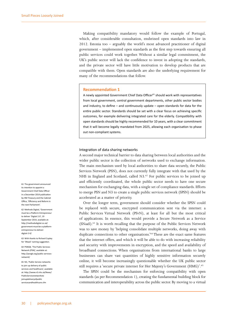Making compatibility mandatory would follow the example of Portugal, which, after considerable consultation, enshrined open standards into law in 2012. Estonia too – arguably the world's most advanced practitioner of digital government – implemented open standards as the first step towards ensuring all public services could work together. Without a similar legal commitment, the UK's public sector will lack the confidence to invest in adopting the standards, and the private sector will have little motivation to develop products that are compatible with them. Open standards are also the underlying requirement for many of the recommendations that follow.

#### **Recommendation 1**

A newly appointed Government Chief Data Officer<sup>61</sup> should work with representatives from local government, central government departments, other public sector bodies and industry, to define – and continuously update – open standards for data for the entire public sector. Standards should be set with a clear focus on achieving specific outcomes, for example delivering integrated care for the elderly. Compatibility with open standards should be highly recommended for 10 years, with a clear commitment that it will become legally mandated from 2025, allowing each organisation to phase out non-compliant systems.

#### Integration of data sharing networks

A second major technical barrier to data sharing between local authorities and the wider public sector is the collection of networks used to exchange information. The main mechanism used by local authorities to share data securely, the Public Services Network (PSN), does not currently fully integrate with that used by the NHS in England and Scotland, called N3.<sup>62</sup> For public services to be joined up and efficiently coordinated, the whole public sector needs to have one secure mechanism for exchanging data, with a single set of compliance standards. Efforts to merge PSN and N3 to create a single public services network (SPSN) should be accelerated as a matter of priority.

Over the longer term, government should consider whether the SPSN could be replaced with secure, encrypted communication sent via the internet: a Public Services Virtual Network (PSvN), at least for all but the most critical of applications. In essence, this would provide a Secure Network as a Service (SNaaS).63 It is worth recalling that the purpose of the Public Services Network was to save money by 'helping consolidate multiple networks, doing away with duplicate connections to other organisations.'64 These are the exact same features that the internet offers, and which it will be able to do with increasing reliability and security with improvements in encryption, and the speed and availability of broadband connections. When organisations from international banks to large businesses can share vast quantities of highly sensitive information securely online, it will become increasingly questionable whether the UK public sector still requires a 'secure private internet for Her Majesty's Government (HMG)'.<sup>65</sup>

The SPSN could be the mechanism for enforcing compatibility with open standards (as per Recommendation 1), creating the fundamental building block for communication and interoperability across the public sector. By moving to a virtual

61 The government announced its intention to appoint a Government Chief Data Officer in a December 2014 publication by HM Treasury and the Cabinet Office, 'Efficiency and Reform in the next Parliament'.

62 Methods Digital, 'Government must be a Platform Entrepreneur to deliver 'Digital 2.0′, 19 September 2014, available at: [http://methodsdigital.co.uk/](http://methodsdigital.co.uk/government) [government](http://methodsdigital.co.uk/government)-must-be-a-platformentrepreneur-to-deliverdigital-2-0/

63 With thanks to Richard Copley for 'SNaaS' naming suggestion.

64 PSNGB, 'The Public Services Network (PSN)', available at: <http://psngb.org/public>-servicesnetwork/

65 N3, 'Public Service networks to join up delivery of public services and healthcare', available at: [http://www.n3.nhs.uk/News/](http://www.n3.nhs.uk/News/PublicServicenetworksto
www.n3.nhs.uk/News/PublicServicenetworksto
joinupdeliveryofpublic
servicesandhealthcare.cfmservicesandhealthcare.cfm) [PublicServicenetworksto](http://www.n3.nhs.uk/News/PublicServicenetworksto
www.n3.nhs.uk/News/PublicServicenetworksto
joinupdeliveryofpublic
servicesandhealthcare.cfmservicesandhealthcare.cfm) [joinupdeliveryofpublic](http://www.n3.nhs.uk/News/PublicServicenetworksto
www.n3.nhs.uk/News/PublicServicenetworksto
joinupdeliveryofpublic
servicesandhealthcare.cfmservicesandhealthcare.cfm) [servicesandhealthcare.cfm](http://www.n3.nhs.uk/News/PublicServicenetworksto
www.n3.nhs.uk/News/PublicServicenetworksto
joinupdeliveryofpublic
servicesandhealthcare.cfmservicesandhealthcare.cfm)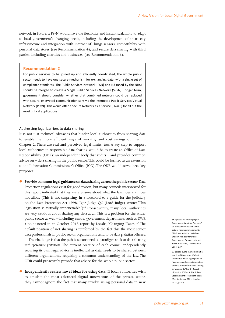network in future, a PSvN would have the flexibility and instant scalability to adapt to local government's changing needs, including the development of smart city infrastructure and integration with Internet of Things sensors; compatibility with personal data stores (see Recommendation 4); and secure data sharing with third parties, including charities and businesses (see Recommendation 6).

#### **Recommendation 2**

For public services to be joined up and efficiently coordinated, the whole public sector needs to have one secure mechanism for exchanging data, with a single set of compliance standards. The Public Services Network (PSN) and N3 (used by the NHS) should be merged to create a Single Public Services Network (SPSN). Longer term, government should consider whether that combined network could be replaced with secure, encrypted communication sent via the internet: a Public Services Virtual Network (PSvN). This would offer a Secure Network as a Service (SNaaS) for all but the most critical applications.

#### Addressing legal barriers to data sharing

It is not just technical obstacles that hinder local authorities from sharing data to enable the more efficient ways of working and cost savings outlined in Chapter 2. There are real and perceived legal limits, too. A key step to support local authorities in responsible data sharing would be to create an Office of Data Responsibility (ODR): an independent body that audits – and provides common advice on – data sharing in the public sector. This could be formed as an extension to the Information Commissioner's Office (ICO). The ODR would serve three key purposes:

z **Provide common legal guidance on data sharing across the public sector.** Data Protection regulations exist for good reason, but many councils interviewed for this report indicated that they were unsure about what the law does and does not allow. (This is not surprising. In a foreword to a guide for the judiciary on the Data Protection Act 1998, Igor Judge QC (Lord Judge) wrote: 'This legislation is virtually impenetrable.')<sup>66</sup> Consequently, many local authorities are very cautious about sharing any data at all. This is a problem for the wider public sector as well – including central government departments such as DWP, a point noted in an October 2013 report by Localis, 'Changing Places'.<sup>67</sup> The default position of not sharing is reinforced by the fact that the most senior data professionals in public sector organisations tend to be data *protection* officers.

The challenge is that the public sector needs a paradigm shift to data sharing *with appropriate protections*. The current practice of each council independently securing its own legal advice is ineffectual as data needs to be shared between different organisations, requiring a common understanding of the law. The ODR could proactively provide that advice for the whole public sector.

**• Independently review novel ideas for using data.** If local authorities wish to emulate the most advanced digital innovations of the private sector, they cannot ignore the fact that many involve using personal data in new 66 Quoted in: 'Making Digital Government Work for Everyone', an independent review to the Labour Party commissioned by Chi Onwurah MP – the Labour Shadow Minister for Digital Government, Cybersecurity and Social Enterprise, 25 November 2014, p.37

67 Localis quote the Communities and Local Government Select Committee which highlighted an 'ignorance and misunderstanding of the current information-sharing arrangements.' Eighth Report of Session 2012–13: The Role of Local Authorities in Health Issues (The Stationary Office, London, 2013), p.78-9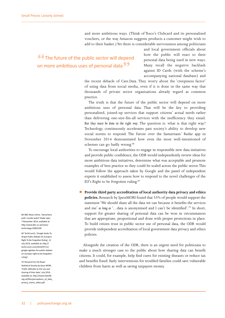and more ambitious ways. (Think of Tesco's Clubcard and its personalised vouchers, or the way Amazon suggests products a customer might wish to add to their basket.) Yet there is considerable nervousness among politicians

**66** The future of the public sector will depend on more ambitious uses of personal data**"**

and local government officials about how the public will react to their personal data being used in new ways. Many recall the negative backlash against ID Cards (with the scheme's accompanying national database) and

the recent debacle of [Care.Data.](Care.Data) They worry about the 'creepiness factor' of using data from social media, even if it is done in the same way that thousands of private sector organisations already regard as common practice.

The truth is that the future of the public sector will depend on more ambitious uses of personal data. That will be the key to providing personalised, joined-up services that support citizens' actual needs rather than delivering one-size-fits-all services with the inefficiency they entail. *But they must be done in the right way*. The question is: what is that right way? Technology continuously accelerates past society's ability to develop new social norms to respond. The furore over the Samaritans' Radar app in November 2014 demonstrated how even the most well-intentioned of schemes can go badly wrong.<sup>68</sup>

To encourage local authorities to engage in responsible new data initiatives and provide public confidence, the ODR would independently review ideas for more ambitious data initiatives, determine what was acceptable and promote examples of best practice so they could be scaled across the public sector. This would follow the approach taken by Google and the panel of independent experts it established to assess how to respond to the novel challenges of the EU's Right to be Forgotten ruling.69

z **Provide third party accreditation of local authority data privacy and ethics policies.** Research by IpsosMORI found that 55% of people would support the statement 'We should share all the data we can because it benefits the services and me' *as long as* '…data is anonymised and I can't be identified'.70 In short, support for greater sharing of personal data can be won in circumstances that are appropriate, proportional and done with proper protections in place. To build citizen trust in public sector use of personal data, the ODR would provide independent accreditation of local government data privacy and ethics policies.

Alongside the creation of the ODR, there is an urgent need for politicians to make a much stronger case to the public about how sharing data can benefit citizens. It could, for example, help find cures for existing diseases or reduce tax and benefits fraud. Early interventions for troubled families could save vulnerable children from harm as well as saving taxpayers money.

68 BBC News online, 'Samaritans pulls 'suicide watch' Radar ann'. 7 November 2014, available at: [http://www.bbc.co.uk/news/](http://www.bbc.co.uk/news/technology) [technology-](http://www.bbc.co.uk/news/technology)29962199

69 TechCrunch, 'Google Seeks To Shape Public Debate On Europe's Right To Be Forgotten Ruling', 11 July 2014, available at: [http://](http://techcrunch.com/2014/07/11/google) [techcrunch.com/2014/07/11/](http://techcrunch.com/2014/07/11/google) [google-](http://techcrunch.com/2014/07/11/google)agitates-for-public-debateon-europes-right-to-be-forgottenruling/

70 Research for the Royal Statistical Society by Ipsos MORI 'Public attitudes to the use and sharing of their data', July 2014, available at: [http://www.statslife.](http://www.statslife.org.uk/files/perceptions_of_data_privacy_charts_slides.pdf) [org.uk/files/perceptions\\_of\\_data\\_](http://www.statslife.org.uk/files/perceptions_of_data_privacy_charts_slides.pdf) [privacy\\_charts\\_slides.pdf](http://www.statslife.org.uk/files/perceptions_of_data_privacy_charts_slides.pdf)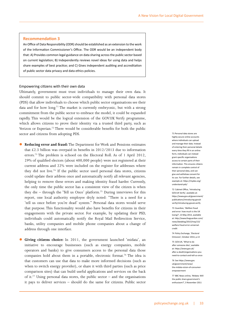#### **Recommendation 3**

An Office of Data Responsibility (ODR) should be established as an extension to the work of the Information Commissioner's Office. The ODR would be an independent body that: A) Provides common legal guidance on data sharing across the public sector based on current legislation; B) Independently reviews novel ideas for using data and helps share examples of best practice; and C) Gives independent auditing and accreditation of public sector data privacy and data ethics policies.

#### Empowering citizens with their own data

Ultimately, government must trust individuals to manage their own data. It should commit to public sector-wide compatibility with personal data stores (PDS) that allow individuals to choose which public sector organisations see their data and for how long.<sup>71</sup> The market is currently embryonic, but with a strong commitment from the public sector to embrace the model, it could be expanded rapidly. This would be the logical extension of the <GOV.UK>Verify programme, which allows citizens to prove their identity via a trusted third party, such as Verizon or Experian.<sup>72</sup> There would be considerable benefits for both the public sector and citizens from adopting PDS.

- **Reducing error and fraud:** The Department for Work and Pensions estimates that £2.3 billion was overpaid in benefits in  $2012/2013$  due to information errors.<sup>73</sup> The problem is echoed on the Electoral Roll. As of 1 April 2012, 29% of qualified electors (about 400,000 people) were not registered at their current address and 22% were included on the register for addresses where they did not live.<sup>74</sup> If the public sector used personal data stores, citizens could update their address once and automatically notify all relevant agencies, helping to remove these errors and making identity fraud harder. Currently, the only time the public sector has a consistent view of the citizen is when they die – through the 'Tell us Once' platform.<sup>75</sup> During interviews for this report, one local authority employee dryly noted: "There is a need for a 'tell us once before you're dead' system." Personal data stores would serve that purpose. This functionality would also have benefits for citizens in their engagements with the private sector. For example, by updating their PSD, individuals could automatically notify the Royal Mail Redirection Service, banks, utility companies and mobile phone companies about a change of address through one interface.
- **Giving citizens choice:** In 2011, the government launched 'midata', an initiative to encourage businesses (such as energy companies, mobile operators and banks) to give consumers access to the personal data those companies hold about them in a portable, electronic format.<sup>76</sup> The idea is that customers can use that data to make more informed decisions (such as when to switch energy provider), or share it with third parties (such as price comparison sites) that can build useful applications and services on the back of it.<sup>77</sup> Using personal data stores, the public sector – and the organisations it pays to deliver services – should do the same for citizens. Public sector

71 Personal data stores are highly-secure online accounts where individuals can upload and manage their data. Instead of entering their personal details every time they fill in an online form, individuals can instead grant specific organisations access to certain parts of their information. This ensures citizens remain in complete control of their personal data, and can give and withdraw consent for its use. For further details, see example at: [https://mydex.org/](https://mydex.org/understand) [understand](https://mydex.org/understand)-pds/

72 Cabinet Office, 'Introducing <GOV.UK> Verify', available at: [https://www.gov.uk/government/](https://www.gov.uk/government/publications/introducing-govuk-verify/introducing-govuk-verify) [publications/introducing-govuk](https://www.gov.uk/government/publications/introducing-govuk-verify/introducing-govuk-verify)[verify/introducing](https://www.gov.uk/government/publications/introducing-govuk-verify/introducing-govuk-verify)-govuk-verify

73 Guardian, 'Welfare fraud and error: how much is the UK losing?', 13 May 2013, available at: [http://www.theguardian.com/](http://www.theguardian.com/news/datablog/2013/may/13/welfare-fraud-error-universal-credit) [news/datablog/2013/may/13/](http://www.theguardian.com/news/datablog/2013/may/13/welfare-fraud-error-universal-credit) [welfare](http://www.theguardian.com/news/datablog/2013/may/13/welfare-fraud-error-universal-credit)-fraud-error-universalcredit

74 Policy Exchange, 'Electoral Omission', October 2014, p.13

75 <GOV.UK>, 'What to do after someone dies', available at: [https://www.gov.uk/](https://www.gov.uk/after-a-death/organisations) [after-a-death/organisations-](https://www.gov.uk/after-a-death/organisations)youneed-to-contact-and-tell-us-once

76 See https://www.gov. uk/government/news/ the-midata-vision-of-consumerempowerment

77 BBC News online, 'Midata: Will the public share government's enthusiasm?', 3 November 2011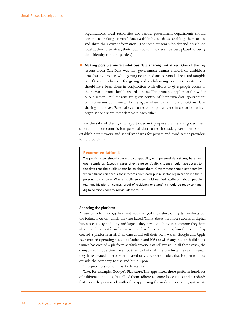organisations, local authorities and central government departments should commit to making citizens' data available by set dates, enabling them to use and share their own information. (For some citizens who depend heavily on local authority services, their local council may even be best placed to verify their identity to other parties.)

Making possible more ambitious data sharing initiatives. One of the key lessons from <Care.Data>was that government cannot embark on ambitious data sharing projects while giving no immediate, personal, direct and tangible benefit (or mechanism for giving and withdrawing consent) to citizens. It should have been done in conjunction with efforts to give people access to their own personal health records online. The principle applies to the wider public sector. Until citizens are given control of their own data, government will come unstuck time and time again when it tries more ambitious datasharing initiatives. Personal data stores could put citizens in control of which organisations share their data with each other.

For the sake of clarity, this report does not propose that central government should build or commission personal data stores. Instead, government should establish a framework and set of standards for private and third-sector providers to develop them.

#### **Recommendation 4**

The public sector should commit to compatibility with personal data stores, based on open standards. Except in cases of extreme sensitivity, citizens should have access to the data that the public sector holds about them. Government should set dates by when citizens can access their records from each public sector organisation via their personal data store. Where public services hold verified attributes about people (e.g. qualifications, licences, proof of residency or status) it should be ready to hand digital versions back to individuals for reuse.

#### Adopting the platform

Advances in technology have not just changed the nature of digital products but the *business model* on which they are based. Think about the most successful digital businesses today and – by and large – they have one thing in common: they have all adopted the platform business model. A few examples explain the point. Ebay created a platform *on which* anyone could sell their own wares. Google and Apple have created operating systems (Android and iOS) *on which* anyone can build apps. iTunes has created a platform *on which* anyone can sell music. In all these cases, the companies in question have not tried to build all the products they sell. Instead they have created an ecosystem, based on a clear set of rules, that is open to those outside the company to use and build upon.

This produces some remarkable results.

Take, for example, Google's Play store. The apps listed there perform hundreds of different functions, but all of them adhere to some basic rules and standards that mean they can work with other apps using the Android operating system. As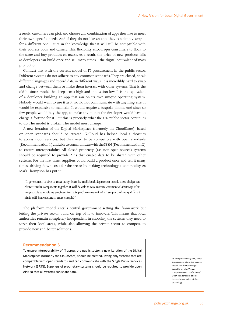a result, customers can pick and choose any combination of apps they like to meet their own specific needs. And if they do not like an app, they can simply swap it for a different one – sure in the knowledge that it will still be compatible with their address book and camera. This flexibility encourages consumers to flock to the store and buy products en masse. As a result, the price of new products falls as developers can build once and sell many times – the digital equivalent of mass production.

Contrast that with the current model of IT procurement in the public sector. Different systems do not adhere to any common standards. They are closed, speak different languages and record data in different ways. It is incredibly hard to swap and change between them or make them interact with other systems. That is the old business model that keeps costs high and innovation low. It is the equivalent of a developer building an app that ran on its own unique operating system. Nobody would want to use it as it would not communicate with anything else. It would be expensive to maintain. It would require a bespoke phone. And since so few people would buy the app, to make any money the developer would have to charge a fortune for it. But this is precisely what the UK public sector continues to do. The model is broken. The model must change.

A new iteration of the Digital Marketplace (formerly the CloudStore), based on open standards should be created. G-Cloud has helped local authorities to access cloud services, but they need to be compatible with open standards (Recommendation 1) and able to communicate with the SPSN (Recommendation 2) to ensure interoperability. All closed propriety (i.e. non-open source) systems should be required to provide APIs that enable data to be shared with other systems. For the first time, suppliers could build a product once and sell it many times, driving down costs for the sector by making technology a commodity. As Mark Thompson has put it:

*'If government is able to move away from its traditional, department-based, siloed design and cluster similar components together, it will be able to take massive commercial advantage of its unique scale as a volume purchaser to create platforms around which suppliers of many different kinds will innovate, much more cheaply.'*<sup>78</sup>

The platform model entails central government setting the framework but letting the private sector build on top of it to innovate. This means that local authorities remain completely independent in choosing the systems they need to serve their local areas, while also allowing the private sector to compete to provide new and better solutions.

#### **Recommendation 5**

To ensure interoperability of IT across the public sector, a new iteration of the Digital Marketplace (formerly the CloudStore) should be created, listing only systems that are compatible with open standards and can communicate with the Single Public Services Network (SPSN). Suppliers of proprietary systems should be required to provide open APIs so that all systems can share data.

78 <ComputerWeekly.com>, 'Open standards are about the business model, not the technology' available at: [http://www.](http://www.computerweekly.com/opinion/Open-standards-are-about-the-business-model-not-the-technology) [computerweekly.com/opinion/](http://www.computerweekly.com/opinion/Open-standards-are-about-the-business-model-not-the-technology) [Open-](http://www.computerweekly.com/opinion/Open-standards-are-about-the-business-model-not-the-technology)standards-are-aboutthe-business-model-not-thetechnology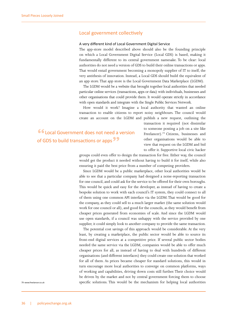#### Local government collectively

#### A very different kind of Local Government Digital Service

The app-store model described above should also be the founding principle on which a Local Government Digital Service (Local GDS) is based, making it fundamentally different to its central government namesake. To be clear: local authorities do not need a version of GDS to build their online transactions or apps. That would entail government becoming a monopoly supplier of IT to itself, the very antithesis of innovation. Instead, a Local GDS should build the equivalent of an app store. That app store is the Local Government Data Marketplace (LGDM).

The LGDM would be a website that brought together local authorities that needed particular online services (transactions, apps or data) with individuals, businesses and other organisations that could provide them. It would operate strictly in accordance with open standards and integrate with the Single Public Services Network.

How would it work? Imagine a local authority that wanted an online transaction to enable citizens to report noisy neighbours. The council would create an account on the LGDM and publish a new request, outlining the

**"**Local Government does not need a version of GDS to build transactions or apps**"**

transaction it required (not dissimilar to someone posting a job on a site like Freelancer).79 Citizens, businesses and other organisations would be able to view that request on the LGDM and bid to offer it. Supportive local civic hacker

groups could even offer to design the transaction for free. Either way, the council would get the product it needed without having to build it for itself, while also ensuring it paid the best price from a number of competing providers.

Since LGDM would be a public marketplace, other local authorities would be able to see that a particular company had designed a noise-reporting transaction for one council, and could ask for the service to be offered for their own boroughs. This would be quick and easy for the developer, as instead of having to create a bespoke solution to work with each council's IT system, they could connect to all of them using one common API interface via the LGDM. That would be good for the company, as they could sell to a much larger market (the same solution would work for one council or all), and good for the councils, as they would benefit from cheaper prices generated from economies of scale. And since the LGDM would use open standards, if a council was unhappy with the service provided by one supplier, it could simply look to another company to provide the same transaction.

The potential cost savings of this approach would be considerable. At the very least, by creating a marketplace, the public sector would be able to source its front-end digital services at a competitive price. If several public sector bodies needed the same service via the LGDM, companies would be able to offer much cheaper prices for all, as instead of having to deal with hundreds of different organisations (and different interfaces) they could create one solution that worked for all of them. As prices became cheaper for standard solutions, this would in turn encourage more local authorities to converge on common platforms, ways of working and capabilities, driving down costs still further. Their choice would be driven by the market and not by central government forcing them to choose specific solutions. This would be the mechanism for helping local authorities

79 <www.freelancer.co.uk>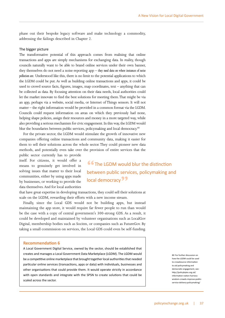phase out their bespoke legacy software and make technology a commodity, addressing the failings described in Chapter 2.

#### The bigger picture

The transformative potential of this approach comes from realising that online transactions and apps are simply mechanisms for exchanging data. In reality, though councils naturally want to be able to brand online services under their own banner, they themselves do not need a noise-reporting app – *they need data on where instances of noise pollution are.* Understood like this, there is no limit to the potential applications to which the LGDM could be put. As well as building online transactions and apps, it could be used to crowd source facts, figures, images, map coordinates, text – anything that can be collected as data. By focusing attention on their data needs, local authorities could let the market innovate to find the best solutions for meeting them. That might be via an app, perhaps via a website, social media, or Internet of Things sensors. It will not matter – the right information would be provided in a common format via the LGDM. Councils could request information on areas on which they previously had none, helping shape policies, assign their resources and money in a more targeted way, while also providing a serious mechanism for civic engagement. In this way, the LGDM would blur the boundaries between public services, policymaking and local democracy.<sup>80</sup>

For the private sector, the LGDM would stimulate the growth of innovative new companies offering online transactions and community data, making it easier for them to sell their solutions across the whole sector. They could pioneer new data methods, and potentially even take over the provision of entire services that the

public sector currently has to provide itself. For citizens, it would offer a means to genuinely get involved in solving issues that matter to their local communities, either by using apps made by businesses, or working to provide the data themselves. And for local authorities

**"66** The LGDM would blur the distinction between public services, policymaking and local democracy<sup>99</sup>

that have great expertise in developing transactions, they could sell their solutions at scale on the LGDM, rewarding their efforts with a new income stream.

Finally, since the Local GDS would not be building apps, but instead maintaining the app store, it would require far fewer people to run than would be the case with a copy of central government's 300-strong GDS. As a result, it could be developed and maintained by volunteer organisations such as LocalGov Digital, membership bodies such as Socitm, or companies such as FutureGov. By taking a small commission on services, the Local GDS could even be self-funding.

#### **Recommendation 6**

A Local Government Digital Service, owned by the sector, should be established that creates and manages a Local Government Data Marketplace (LGDM). The LGDM would be a competitive online marketplace that brought together local authorities that needed particular online services (transactions, apps or data) with individuals, businesses and other organisations that could provide them. It would operate strictly in accordance with open standards and integrate with the SPSN to create solutions that could be scaled across the sector.

80 For further discussion on how the LGDM could be used to crowdsource information to aid policymaking and democratic engagement, see: [http://policybytes.org.uk/](http://policybytes.org.uk/information) [information](http://policybytes.org.uk/information)-nation-harnesswisdom-crowds-improve-publicservice-delivery-policymaking/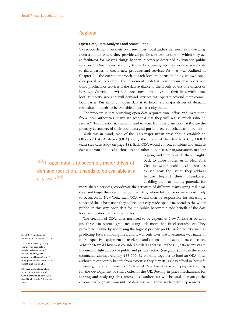#### Regional

#### Open Data, Data Analytics and Smart Cities

To reduce demand on their own resources, local authorities need to move away from a model where they provide all public services, to one in which they act as facilitator for making things happen, a concept described as 'synaptic public services'.<sup>81</sup> One means of doing this is by opening up their non-personal data to third parties to create new products and services. Yet – as was outlined in Chapter  $2$  – the current approach of each local authority building its own open data portal will condemn the movement to defeat. Few serious developers will build products or services if the data available to them only covers one district or borough. Citizens, likewise, do not conveniently live out their lives within one local authority area and will demand services that operate beyond their council boundaries. Put simply, if open data is to become a major driver of demand reduction, it needs to be available at least at a city scale.

The problem is that providing open data requires time, effort and investment from local authorities. Many are sceptical that they will realise much value in return.82 To address that, councils need to work from the principle that *they* are the primary customers of their open data and put in place a mechanism to benefit.

With this in mind, each of the UK's major urban areas should establish an Office of Data Analytics (ODA) along the model of the New York City MODA team (see case study on page 18). Each ODA would collect, combine and analyse datasets from the local authorities and other public sector organisations in their

**66** If open data is to become a major driver of demand reduction, it needs to be available at a city scale**"**

region, and then provide their insights back to those bodies. As in New York City, this would enable local authorities to see how the issues they address feature beyond their boundaries, enabling them to identify potential for

more shared services, coordinate the activities of different teams using real-time data, and target their resources by predicting where future issues were most likely to occur. As in New York, each ODA would then be responsible for releasing a subset of the information they collect on a city-wide open data portal to the wider public. In this way, open data for the public becomes a side benefit of the data local authorities use for themselves.

The creation of ODAs does not need to be expensive. New York's started with just three data science graduates using little more than Excel spreadsheets. They proved their value by addressing the highest priority problems for the city, such as predicting future building fires, and it was only later that investment was made in more expensive equipment to accelerate and automate the pace of data collection. What the team *did* have was considerable data expertise. In the UK, data scientists are in demand right across the public and private sectors (see graph) and can therefore command salaries averaging £55,000. By working together to fund an ODA, local authorities can jointly benefit from expertise they may struggle to afford in-house.<sup>83</sup>

Finally, the establishment of Offices of Data Analytics would prepare the way for the development of smart cities in the UK. Putting in place mechanisms for sharing and analysing data across local authorities will be vital to manage the exponentially greater amounts of data that will arrive with smart city sensors.

81 LGiU, 'Technology and transformation in town halls', p.6

82 Computer Weekly, 'Using public sector open data to benefit local communities', available at: [http://www.](http://www.computerweekly.com/feature/Using-public-sector-open-data-to-benefit-local-communities) [computerweekly.com/feature/](http://www.computerweekly.com/feature/Using-public-sector-open-data-to-benefit-local-communities) [Using](http://www.computerweekly.com/feature/Using-public-sector-open-data-to-benefit-local-communities)-public-sector-open-data-tobenefit-local-communities

83 Salary level and graph taken from: IT Jobs Watch: [http://](http://www.itjobswatch.co.uk/jobs/uk/data%20scientist.do) [www.itjobswatch.co.uk/jobs/uk/](http://www.itjobswatch.co.uk/jobs/uk/data%20scientist.do) [data%20scientist.do, 5 December](http://www.itjobswatch.co.uk/jobs/uk/data%20scientist.do)  [2014](http://www.itjobswatch.co.uk/jobs/uk/data%20scientist.do)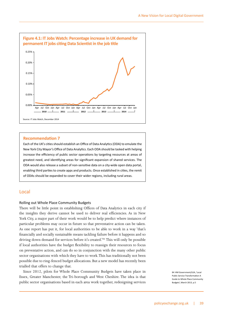

#### **Recommendation 7**

Each of the UK's cities should establish an Office of Data Analytics (ODA) to emulate the New York City Mayor's Office of Data Analytics. Each ODA should be tasked with helping increase the efficiency of public sector operations by targeting resources at areas of greatest need, and identifying areas for significant expansion of shared services. The ODA would also release a subset of non-sensitive data on a city-wide open data portal, enabling third parties to create apps and products. Once established in cities, the remit of ODAs should be expanded to cover their wider regions, including rural areas.

#### Local

#### Rolling out Whole Place Community Budgets

There will be little point in establishing Offices of Data Analytics in each city if the insights they derive cannot be used to deliver real efficiencies. As in New York City, a major part of their work would be to help predict where instances of particular problems may occur in future so that preventative action can be taken. As one report has put it, for local authorities to be able to work in a way 'that's financially and socially sustainable means tackling failure before it happens and so driving down demand for services before it's created.'84 This will only be possible if local authorities have the budget flexibility to reassign their resources to focus on preventative action, and can do so in conjunction with the many other public sector organisations with which they have to work. This has traditionally not been possible due to ring-fenced budget allocations. But a new model has recently been trialled that offers to change that.

Since 2012, pilots for Whole Place Community Budgets have taken place in Essex, Greater Manchester, the Tri-borough and West Cheshire. The idea is that public sector organisations based in each area work together, redesigning services

84 HM Government/LGA, 'Local Public Service Transformation A Guide to Whole Place Community Budgets', March 2013, p.5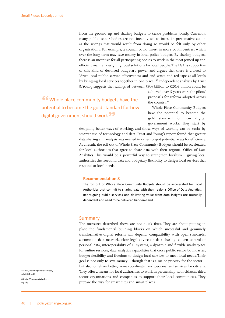from the ground up and sharing budgets to tackle problems jointly. Currently, many public sector bodies are not incentivised to invest in preventative action as the savings that would result from doing so would be felt only by other organisations. For example, a council could invest in more youth centres, which over the long term may save money in local police budgets. By sharing budgets, there is an incentive for all participating bodies to work in the most joined up and efficient manner, designing local solutions for local people. The LGA is supportive of this kind of devolved budgetary power and argues that there is a need to 'drive local public service effectiveness and end waste and red tape at all levels by bringing local services together in one place'.<sup>85</sup> Independent analysis by Ernst & Young suggests that savings of between £9.4 billion to £20.6 billion could be

**"**Whole place community budgets have the potential to become the gold standard for how digital government should work**"**

achieved over 5 years were the pilots' proposals for reform adopted across the country.86

Whole Place Community Budgets have the potential to become the gold standard for how digital government works. They start by

designing better ways of working, and those ways of working can be *enabled* by smarter use of technology and data. Ernst and Young's report found that greater data sharing and analysis was needed in order to spot potential areas for efficiency. As a result, the roll out of Whole Place Community Budgets should be accelerated for local authorities that agree to share data with their regional Office of Data Analytics. This would be a powerful way to strengthen localism – giving local authorities the freedom, data and budgetary flexibility to design local services that respond to local needs.

#### **Recommendation 8**

The roll out of Whole Place Community Budgets should be accelerated for Local Authorities that commit to sharing data with their region's Office of Data Analytics. Redesigning public services and delivering value from data insights are mutually dependent and need to be delivered hand-in-hand.

#### Summary

The measures described above are not quick fixes. They are about putting in place the fundamental building blocks on which successful and genuinely transformative digital reform will depend: compatibility with open standards, a common data network, clear legal advice on data sharing, citizen control of personal data, interoperability of IT systems, a dynamic and flexible marketplace for online services, data analytics capabilities that cross public sector boundaries, budget flexibility and freedom to design local services to meet local needs. Their goal is not only to save money – though that is a major priority for the sector – but also to deliver better, more coordinated and personalised services for citizens. They offer a means for local authorities to work in partnership with citizens, third sector organisations and companies to support their local communities. They prepare the way for smart cites and smart places.

85 LGA, 'Rewiring Public Services', July 2014, p.15 86 [http://communitybudgets.](http://communitybudgets.org.uk)

[org.uk](http://communitybudgets.org.uk)/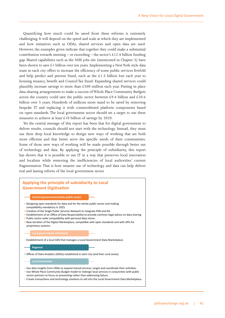Quantifying how much could be saved from these reforms is extremely challenging. It will depend on the speed and scale at which they are implemented and how initiatives such as ODAs, shared services and open data are used. However, the examples given indicate that together they could make a substantial contribution towards meeting – or exceeding – the sector's £12.4 billion funding gap. Shared capabilities such as the NHS jobs site (mentioned in Chapter 3) have been shown to save £1 billion over ten years. Implementing a New York-style data team in each city offers to increase the efficiency of some public services fivefold and help predict and prevent fraud, such as the  $£1.3$  billion lost each year to housing tenancy, benefit and Council Tax fraud. Expanding shared services could plausibly increase savings to more than £500 million each year. Putting in place data-sharing arrangements to make a success of Whole Place Community Budgets across the country could save the public sector between £9.4 billion and £20.6 billion over 5 years. Hundreds of millions more stand to be saved by removing bespoke IT and replacing it with commoditised platform components based on open standards. The local government sector should set a target to use these measures to achieve at least £10 billion of savings by 2020.

Yet the central message of this report has been that for digital government to deliver results, councils should not start with the technology. Instead, they must use their deep local knowledge to design new ways of working that are both more efficient and that better serve the specific needs of their communities. Some of those new ways of working will be made possible through better use of technology and data. By applying the principle of subsidiarity, this report has shown that it is possible to use IT in a way that preserves local innovation and localism while removing the inefficiencies of local authorities' current fragmentation. That is how smarter use of technology and data can help deliver real and lasting reform of the local government sector.